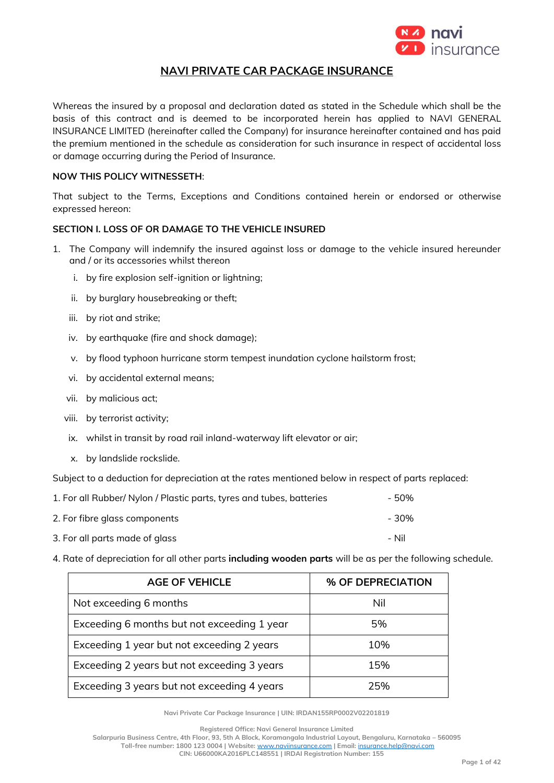

# **NAVI PRIVATE CAR PACKAGE INSURANCE**

Whereas the insured by a proposal and declaration dated as stated in the Schedule which shall be the basis of this contract and is deemed to be incorporated herein has applied to NAVI GENERAL INSURANCE LIMITED (hereinafter called the Company) for insurance hereinafter contained and has paid the premium mentioned in the schedule as consideration for such insurance in respect of accidental loss or damage occurring during the Period of Insurance.

## **NOW THIS POLICY WITNESSETH**:

That subject to the Terms, Exceptions and Conditions contained herein or endorsed or otherwise expressed hereon:

# **SECTION I. LOSS OF OR DAMAGE TO THE VEHICLE INSURED**

- 1. The Company will indemnify the insured against loss or damage to the vehicle insured hereunder and / or its accessories whilst thereon
	- i. by fire explosion self-ignition or lightning;
	- ii. by burglary housebreaking or theft;
	- iii. by riot and strike;
	- iv. by earthquake (fire and shock damage);
	- v. by flood typhoon hurricane storm tempest inundation cyclone hailstorm frost;
	- vi. by accidental external means;
	- vii. by malicious act;
	- viii. by terrorist activity;
	- ix. whilst in transit by road rail inland-waterway lift elevator or air;
	- x. by landslide rockslide.

Subject to a deduction for depreciation at the rates mentioned below in respect of parts replaced:

| 1. For all Rubber/ Nylon / Plastic parts, tyres and tubes, batteries | - 50% |  |
|----------------------------------------------------------------------|-------|--|
| 2. For fibre glass components                                        | - 30% |  |
| 3. For all parts made of glass                                       | – Nil |  |

4. Rate of depreciation for all other parts **including wooden parts** will be as per the following schedule.

| <b>AGE OF VEHICLE</b>                       | % OF DEPRECIATION |
|---------------------------------------------|-------------------|
| Not exceeding 6 months                      | Nil               |
| Exceeding 6 months but not exceeding 1 year | 5%                |
| Exceeding 1 year but not exceeding 2 years  | 10%               |
| Exceeding 2 years but not exceeding 3 years | 15%               |
| Exceeding 3 years but not exceeding 4 years | 25%               |

**Navi Private Car Package Insurance | UIN: IRDAN155RP0002V02201819**

**Registered Office: Navi General Insurance Limited**

**Salarpuria Business Centre, 4th Floor, 93, 5th A Block, Koramangala Industrial Layout, Bengaluru, Karnataka – 560095**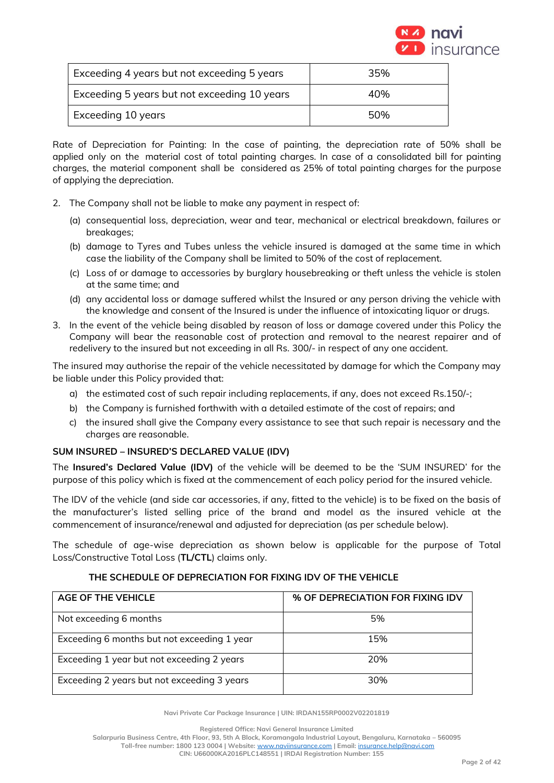

| $\overline{a}$ Exceeding 4 years but not exceeding 5 years | 35% |
|------------------------------------------------------------|-----|
| Exceeding 5 years but not exceeding 10 years               | 40% |
| <b>Exceeding 10 years</b>                                  | 50% |

Rate of Depreciation for Painting: In the case of painting, the depreciation rate of 50% shall be applied only on the material cost of total painting charges. In case of a consolidated bill for painting charges, the material component shall be considered as 25% of total painting charges for the purpose of applying the depreciation.

- 2. The Company shall not be liable to make any payment in respect of:
	- (a) consequential loss, depreciation, wear and tear, mechanical or electrical breakdown, failures or breakages;
	- (b) damage to Tyres and Tubes unless the vehicle insured is damaged at the same time in which case the liability of the Company shall be limited to 50% of the cost of replacement.
	- (c) Loss of or damage to accessories by burglary housebreaking or theft unless the vehicle is stolen at the same time; and
	- (d) any accidental loss or damage suffered whilst the Insured or any person driving the vehicle with the knowledge and consent of the Insured is under the influence of intoxicating liquor or drugs.
- 3. In the event of the vehicle being disabled by reason of loss or damage covered under this Policy the Company will bear the reasonable cost of protection and removal to the nearest repairer and of redelivery to the insured but not exceeding in all Rs. 300/- in respect of any one accident.

The insured may authorise the repair of the vehicle necessitated by damage for which the Company may be liable under this Policy provided that:

- a) the estimated cost of such repair including replacements, if any, does not exceed Rs.150/-;
- b) the Company is furnished forthwith with a detailed estimate of the cost of repairs; and
- c) the insured shall give the Company every assistance to see that such repair is necessary and the charges are reasonable.

# **SUM INSURED – INSURED'S DECLARED VALUE (IDV)**

The **Insured's Declared Value (IDV)** of the vehicle will be deemed to be the 'SUM INSURED' for the purpose of this policy which is fixed at the commencement of each policy period for the insured vehicle.

The IDV of the vehicle (and side car accessories, if any, fitted to the vehicle) is to be fixed on the basis of the manufacturer's listed selling price of the brand and model as the insured vehicle at the commencement of insurance/renewal and adjusted for depreciation (as per schedule below).

The schedule of age-wise depreciation as shown below is applicable for the purpose of Total Loss/Constructive Total Loss (**TL/CTL**) claims only.

| THE SCHEDULE OF DEPRECIATION FOR FIXING IDV OF THE VEHICLE |  |
|------------------------------------------------------------|--|
|                                                            |  |

| <b>AGE OF THE VEHICLE</b>                   | % OF DEPRECIATION FOR FIXING IDV |
|---------------------------------------------|----------------------------------|
| Not exceeding 6 months                      | 5%                               |
| Exceeding 6 months but not exceeding 1 year | 15%                              |
| Exceeding 1 year but not exceeding 2 years  | 20%                              |
| Exceeding 2 years but not exceeding 3 years | 30%                              |

**Navi Private Car Package Insurance | UIN: IRDAN155RP0002V02201819**

**Registered Office: Navi General Insurance Limited**

**Salarpuria Business Centre, 4th Floor, 93, 5th A Block, Koramangala Industrial Layout, Bengaluru, Karnataka – 560095**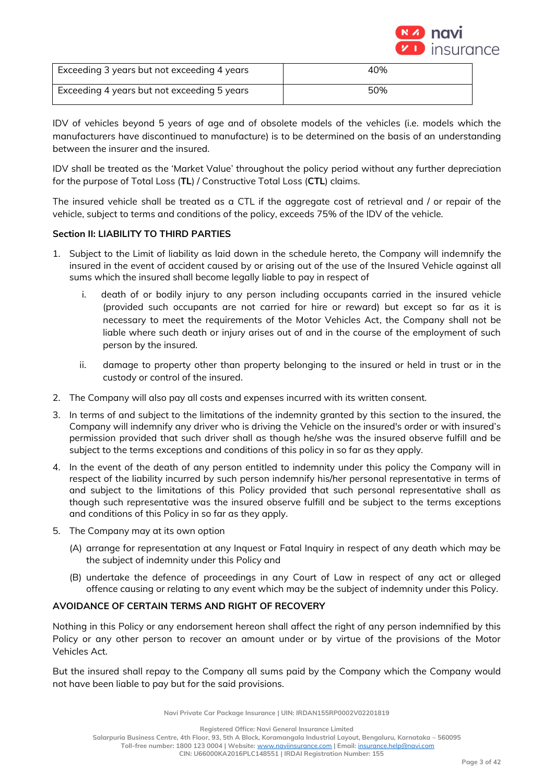

| Exceeding 3 years but not exceeding 4 years | 40% |
|---------------------------------------------|-----|
| Exceeding 4 years but not exceeding 5 years | 50% |

IDV of vehicles beyond 5 years of age and of obsolete models of the vehicles (i.e. models which the manufacturers have discontinued to manufacture) is to be determined on the basis of an understanding between the insurer and the insured.

IDV shall be treated as the 'Market Value' throughout the policy period without any further depreciation for the purpose of Total Loss (**TL**) / Constructive Total Loss (**CTL**) claims.

The insured vehicle shall be treated as a CTL if the aggregate cost of retrieval and / or repair of the vehicle, subject to terms and conditions of the policy, exceeds 75% of the IDV of the vehicle.

## **Section II: LIABILITY TO THIRD PARTIES**

- 1. Subject to the Limit of liability as laid down in the schedule hereto, the Company will indemnify the insured in the event of accident caused by or arising out of the use of the Insured Vehicle against all sums which the insured shall become legally liable to pay in respect of
	- i. death of or bodily injury to any person including occupants carried in the insured vehicle (provided such occupants are not carried for hire or reward) but except so far as it is necessary to meet the requirements of the Motor Vehicles Act, the Company shall not be liable where such death or injury arises out of and in the course of the employment of such person by the insured.
	- ii. damage to property other than property belonging to the insured or held in trust or in the custody or control of the insured.
- 2. The Company will also pay all costs and expenses incurred with its written consent.
- 3. In terms of and subject to the limitations of the indemnity granted by this section to the insured, the Company will indemnify any driver who is driving the Vehicle on the insured's order or with insured's permission provided that such driver shall as though he/she was the insured observe fulfill and be subject to the terms exceptions and conditions of this policy in so far as they apply.
- 4. In the event of the death of any person entitled to indemnity under this policy the Company will in respect of the liability incurred by such person indemnify his/her personal representative in terms of and subject to the limitations of this Policy provided that such personal representative shall as though such representative was the insured observe fulfill and be subject to the terms exceptions and conditions of this Policy in so far as they apply.
- 5. The Company may at its own option
	- (A) arrange for representation at any Inquest or Fatal Inquiry in respect of any death which may be the subject of indemnity under this Policy and
	- (B) undertake the defence of proceedings in any Court of Law in respect of any act or alleged offence causing or relating to any event which may be the subject of indemnity under this Policy.

# **AVOIDANCE OF CERTAIN TERMS AND RIGHT OF RECOVERY**

Nothing in this Policy or any endorsement hereon shall affect the right of any person indemnified by this Policy or any other person to recover an amount under or by virtue of the provisions of the Motor Vehicles Act.

But the insured shall repay to the Company all sums paid by the Company which the Company would not have been liable to pay but for the said provisions.

**Navi Private Car Package Insurance | UIN: IRDAN155RP0002V02201819**

**Registered Office: Navi General Insurance Limited**

**Salarpuria Business Centre, 4th Floor, 93, 5th A Block, Koramangala Industrial Layout, Bengaluru, Karnataka – 560095**

**Toll-free number: 1800 123 0004 | Website:** [www.naviinsurance.com](http://www.naviinsurance.com/) **| Email:** [insurance.help@navi.com](mailto:insurance.help@navi.com)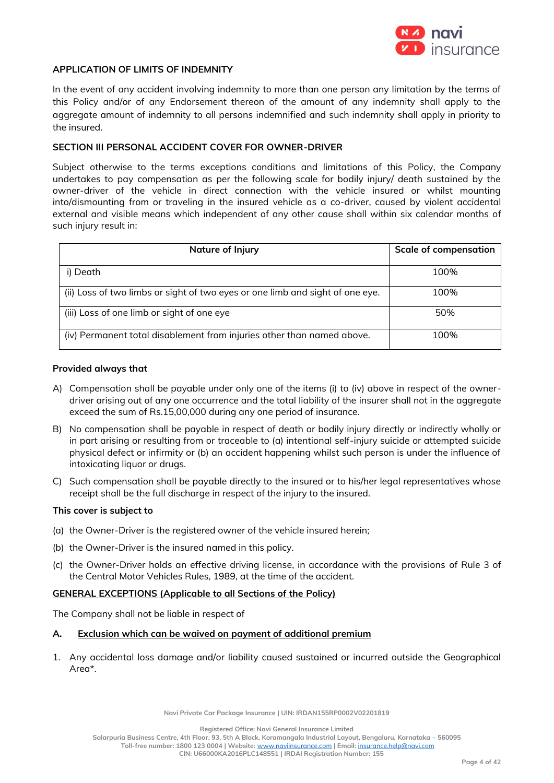

### **APPLICATION OF LIMITS OF INDEMNITY**

In the event of any accident involving indemnity to more than one person any limitation by the terms of this Policy and/or of any Endorsement thereon of the amount of any indemnity shall apply to the aggregate amount of indemnity to all persons indemnified and such indemnity shall apply in priority to the insured.

### **SECTION III PERSONAL ACCIDENT COVER FOR OWNER-DRIVER**

Subject otherwise to the terms exceptions conditions and limitations of this Policy, the Company undertakes to pay compensation as per the following scale for bodily injury/ death sustained by the owner-driver of the vehicle in direct connection with the vehicle insured or whilst mounting into/dismounting from or traveling in the insured vehicle as a co-driver, caused by violent accidental external and visible means which independent of any other cause shall within six calendar months of such injury result in:

| Nature of Injury                                                              | <b>Scale of compensation</b> |
|-------------------------------------------------------------------------------|------------------------------|
| i) Death                                                                      | 100%                         |
| (ii) Loss of two limbs or sight of two eyes or one limb and sight of one eye. | 100%                         |
| (iii) Loss of one limb or sight of one eye                                    | 50%                          |
| (iv) Permanent total disablement from injuries other than named above.        | 100%                         |

#### **Provided always that**

- A) Compensation shall be payable under only one of the items (i) to (iv) above in respect of the ownerdriver arising out of any one occurrence and the total liability of the insurer shall not in the aggregate exceed the sum of Rs.15,00,000 during any one period of insurance.
- B) No compensation shall be payable in respect of death or bodily injury directly or indirectly wholly or in part arising or resulting from or traceable to (a) intentional self-injury suicide or attempted suicide physical defect or infirmity or (b) an accident happening whilst such person is under the influence of intoxicating liquor or drugs.
- C) Such compensation shall be payable directly to the insured or to his/her legal representatives whose receipt shall be the full discharge in respect of the injury to the insured.

#### **This cover is subject to**

- (a) the Owner-Driver is the registered owner of the vehicle insured herein;
- (b) the Owner-Driver is the insured named in this policy.
- (c) the Owner-Driver holds an effective driving license, in accordance with the provisions of Rule 3 of the Central Motor Vehicles Rules, 1989, at the time of the accident.

#### **GENERAL EXCEPTIONS (Applicable to all Sections of the Policy)**

The Company shall not be liable in respect of

#### **A. Exclusion which can be waived on payment of additional premium**

1. Any accidental loss damage and/or liability caused sustained or incurred outside the Geographical Area\*.

**Navi Private Car Package Insurance | UIN: IRDAN155RP0002V02201819**

**Registered Office: Navi General Insurance Limited**

**Salarpuria Business Centre, 4th Floor, 93, 5th A Block, Koramangala Industrial Layout, Bengaluru, Karnataka – 560095**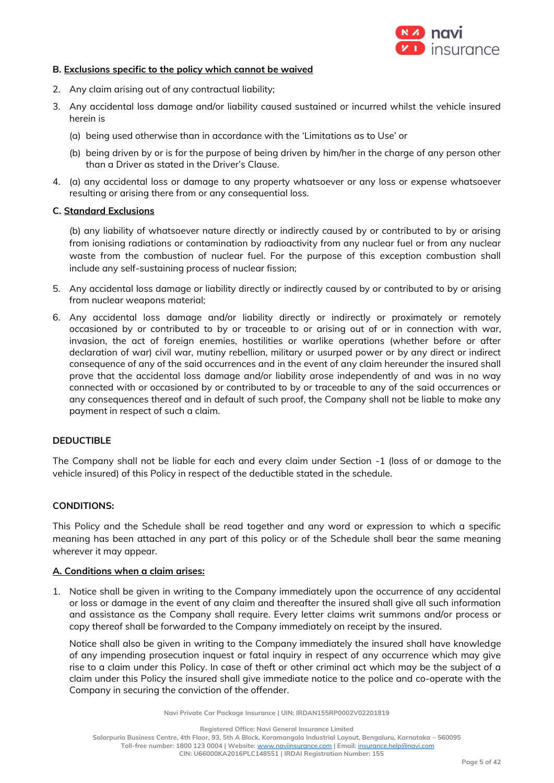

### **B. Exclusions specific to the policy which cannot be waived**

- 2. Any claim arising out of any contractual liability;
- 3. Any accidental loss damage and/or liability caused sustained or incurred whilst the vehicle insured herein is
	- (a) being used otherwise than in accordance with the 'Limitations as to Use' or
	- (b) being driven by or is for the purpose of being driven by him/her in the charge of any person other than a Driver as stated in the Driver's Clause.
- 4. (a) any accidental loss or damage to any property whatsoever or any loss or expense whatsoever resulting or arising there from or any consequential loss.

### **C. Standard Exclusions**

(b) any liability of whatsoever nature directly or indirectly caused by or contributed to by or arising from ionising radiations or contamination by radioactivity from any nuclear fuel or from any nuclear waste from the combustion of nuclear fuel. For the purpose of this exception combustion shall include any self-sustaining process of nuclear fission;

- 5. Any accidental loss damage or liability directly or indirectly caused by or contributed to by or arising from nuclear weapons material;
- 6. Any accidental loss damage and/or liability directly or indirectly or proximately or remotely occasioned by or contributed to by or traceable to or arising out of or in connection with war, invasion, the act of foreign enemies, hostilities or warlike operations (whether before or after declaration of war) civil war, mutiny rebellion, military or usurped power or by any direct or indirect consequence of any of the said occurrences and in the event of any claim hereunder the insured shall prove that the accidental loss damage and/or liability arose independently of and was in no way connected with or occasioned by or contributed to by or traceable to any of the said occurrences or any consequences thereof and in default of such proof, the Company shall not be liable to make any payment in respect of such a claim.

## **DEDUCTIBLE**

The Company shall not be liable for each and every claim under Section -1 (loss of or damage to the vehicle insured) of this Policy in respect of the deductible stated in the schedule.

#### **CONDITIONS:**

This Policy and the Schedule shall be read together and any word or expression to which a specific meaning has been attached in any part of this policy or of the Schedule shall bear the same meaning wherever it may appear.

#### **A. Conditions when a claim arises:**

1. Notice shall be given in writing to the Company immediately upon the occurrence of any accidental or loss or damage in the event of any claim and thereafter the insured shall give all such information and assistance as the Company shall require. Every letter claims writ summons and/or process or copy thereof shall be forwarded to the Company immediately on receipt by the insured.

Notice shall also be given in writing to the Company immediately the insured shall have knowledge of any impending prosecution inquest or fatal inquiry in respect of any occurrence which may give rise to a claim under this Policy. In case of theft or other criminal act which may be the subject of a claim under this Policy the insured shall give immediate notice to the police and co-operate with the Company in securing the conviction of the offender.

**Navi Private Car Package Insurance | UIN: IRDAN155RP0002V02201819**

**Registered Office: Navi General Insurance Limited**

**Salarpuria Business Centre, 4th Floor, 93, 5th A Block, Koramangala Industrial Layout, Bengaluru, Karnataka – 560095**

**Toll-free number: 1800 123 0004 | Website:** [www.naviinsurance.com](http://www.naviinsurance.com/) **| Email:** [insurance.help@navi.com](mailto:insurance.help@navi.com)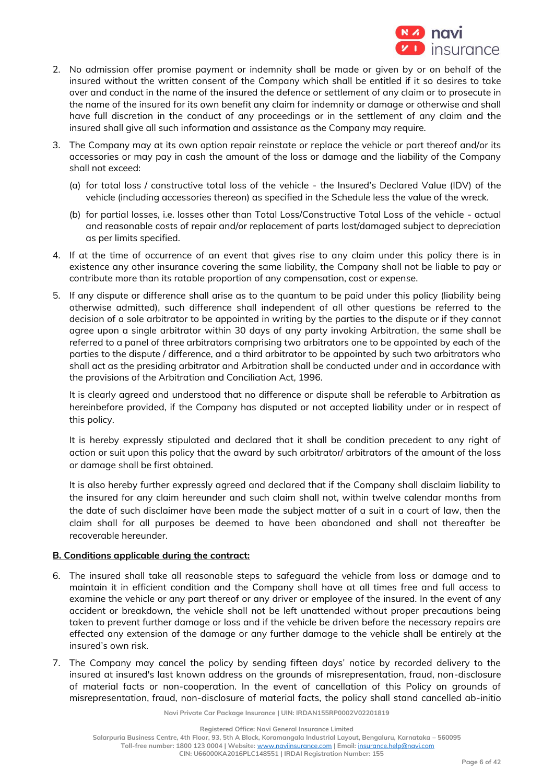

- 2. No admission offer promise payment or indemnity shall be made or given by or on behalf of the insured without the written consent of the Company which shall be entitled if it so desires to take over and conduct in the name of the insured the defence or settlement of any claim or to prosecute in the name of the insured for its own benefit any claim for indemnity or damage or otherwise and shall have full discretion in the conduct of any proceedings or in the settlement of any claim and the insured shall give all such information and assistance as the Company may require.
- 3. The Company may at its own option repair reinstate or replace the vehicle or part thereof and/or its accessories or may pay in cash the amount of the loss or damage and the liability of the Company shall not exceed:
	- (a) for total loss / constructive total loss of the vehicle the Insured's Declared Value (IDV) of the vehicle (including accessories thereon) as specified in the Schedule less the value of the wreck.
	- (b) for partial losses, i.e. losses other than Total Loss/Constructive Total Loss of the vehicle actual and reasonable costs of repair and/or replacement of parts lost/damaged subject to depreciation as per limits specified.
- 4. If at the time of occurrence of an event that gives rise to any claim under this policy there is in existence any other insurance covering the same liability, the Company shall not be liable to pay or contribute more than its ratable proportion of any compensation, cost or expense.
- 5. If any dispute or difference shall arise as to the quantum to be paid under this policy (liability being otherwise admitted), such difference shall independent of all other questions be referred to the decision of a sole arbitrator to be appointed in writing by the parties to the dispute or if they cannot agree upon a single arbitrator within 30 days of any party invoking Arbitration, the same shall be referred to a panel of three arbitrators comprising two arbitrators one to be appointed by each of the parties to the dispute / difference, and a third arbitrator to be appointed by such two arbitrators who shall act as the presiding arbitrator and Arbitration shall be conducted under and in accordance with the provisions of the Arbitration and Conciliation Act, 1996.

It is clearly agreed and understood that no difference or dispute shall be referable to Arbitration as hereinbefore provided, if the Company has disputed or not accepted liability under or in respect of this policy.

It is hereby expressly stipulated and declared that it shall be condition precedent to any right of action or suit upon this policy that the award by such arbitrator/ arbitrators of the amount of the loss or damage shall be first obtained.

It is also hereby further expressly agreed and declared that if the Company shall disclaim liability to the insured for any claim hereunder and such claim shall not, within twelve calendar months from the date of such disclaimer have been made the subject matter of a suit in a court of law, then the claim shall for all purposes be deemed to have been abandoned and shall not thereafter be recoverable hereunder.

## **B. Conditions applicable during the contract:**

- 6. The insured shall take all reasonable steps to safeguard the vehicle from loss or damage and to maintain it in efficient condition and the Company shall have at all times free and full access to examine the vehicle or any part thereof or any driver or employee of the insured. In the event of any accident or breakdown, the vehicle shall not be left unattended without proper precautions being taken to prevent further damage or loss and if the vehicle be driven before the necessary repairs are effected any extension of the damage or any further damage to the vehicle shall be entirely at the insured's own risk.
- 7. The Company may cancel the policy by sending fifteen days' notice by recorded delivery to the insured at insured's last known address on the grounds of misrepresentation, fraud, non-disclosure of material facts or non-cooperation. In the event of cancellation of this Policy on grounds of misrepresentation, fraud, non-disclosure of material facts, the policy shall stand cancelled ab-initio

**Navi Private Car Package Insurance | UIN: IRDAN155RP0002V02201819**

**Registered Office: Navi General Insurance Limited**

**Salarpuria Business Centre, 4th Floor, 93, 5th A Block, Koramangala Industrial Layout, Bengaluru, Karnataka – 560095**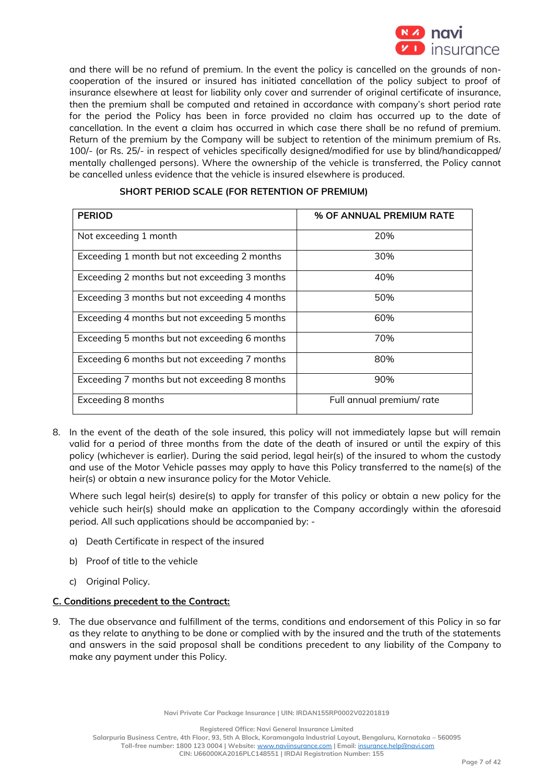

and there will be no refund of premium. In the event the policy is cancelled on the grounds of noncooperation of the insured or insured has initiated cancellation of the policy subject to proof of insurance elsewhere at least for liability only cover and surrender of original certificate of insurance, then the premium shall be computed and retained in accordance with company's short period rate for the period the Policy has been in force provided no claim has occurred up to the date of cancellation. In the event a claim has occurred in which case there shall be no refund of premium. Return of the premium by the Company will be subject to retention of the minimum premium of Rs. 100/- (or Rs. 25/- in respect of vehicles specifically designed/modified for use by blind/handicapped/ mentally challenged persons). Where the ownership of the vehicle is transferred, the Policy cannot be cancelled unless evidence that the vehicle is insured elsewhere is produced.

| <b>PERIOD</b>                                 | % OF ANNUAL PREMIUM RATE |
|-----------------------------------------------|--------------------------|
| Not exceeding 1 month                         | 20%                      |
| Exceeding 1 month but not exceeding 2 months  | 30%                      |
| Exceeding 2 months but not exceeding 3 months | 40%                      |
| Exceeding 3 months but not exceeding 4 months | 50%                      |
| Exceeding 4 months but not exceeding 5 months | 60%                      |
| Exceeding 5 months but not exceeding 6 months | 70%                      |
| Exceeding 6 months but not exceeding 7 months | 80%                      |
| Exceeding 7 months but not exceeding 8 months | 90%                      |
| Exceeding 8 months                            | Full annual premium/rate |

## **SHORT PERIOD SCALE (FOR RETENTION OF PREMIUM)**

8. In the event of the death of the sole insured, this policy will not immediately lapse but will remain valid for a period of three months from the date of the death of insured or until the expiry of this policy (whichever is earlier). During the said period, legal heir(s) of the insured to whom the custody and use of the Motor Vehicle passes may apply to have this Policy transferred to the name(s) of the heir(s) or obtain a new insurance policy for the Motor Vehicle.

Where such legal heir(s) desire(s) to apply for transfer of this policy or obtain a new policy for the vehicle such heir(s) should make an application to the Company accordingly within the aforesaid period. All such applications should be accompanied by: -

- a) Death Certificate in respect of the insured
- b) Proof of title to the vehicle
- c) Original Policy.

## **C. Conditions precedent to the Contract:**

9. The due observance and fulfillment of the terms, conditions and endorsement of this Policy in so far as they relate to anything to be done or complied with by the insured and the truth of the statements and answers in the said proposal shall be conditions precedent to any liability of the Company to make any payment under this Policy.

**Registered Office: Navi General Insurance Limited**

**Salarpuria Business Centre, 4th Floor, 93, 5th A Block, Koramangala Industrial Layout, Bengaluru, Karnataka – 560095**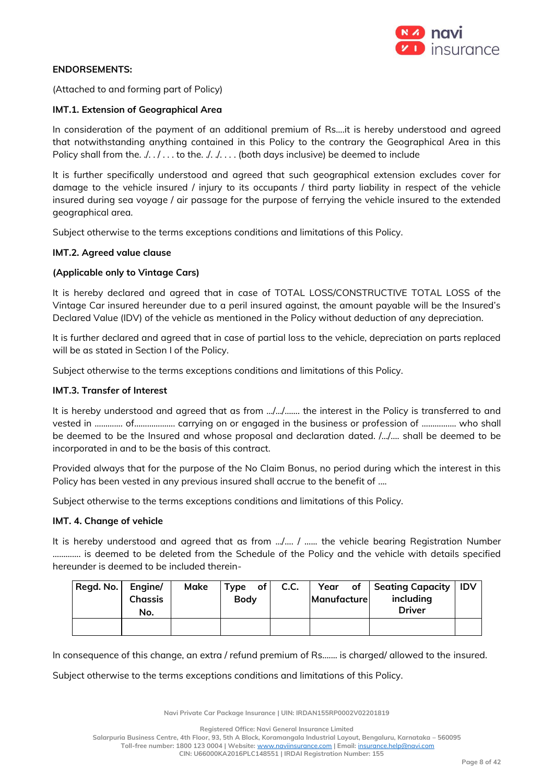

## **ENDORSEMENTS:**

(Attached to and forming part of Policy)

### **IMT.1. Extension of Geographical Area**

In consideration of the payment of an additional premium of Rs….it is hereby understood and agreed that notwithstanding anything contained in this Policy to the contrary the Geographical Area in this Policy shall from the.  $/$ .  $/$ . . . to the.  $/$ .  $/$ . . . . (both days inclusive) be deemed to include

It is further specifically understood and agreed that such geographical extension excludes cover for damage to the vehicle insured / injury to its occupants / third party liability in respect of the vehicle insured during sea voyage / air passage for the purpose of ferrying the vehicle insured to the extended geographical area.

Subject otherwise to the terms exceptions conditions and limitations of this Policy.

### **IMT.2. Agreed value clause**

### **(Applicable only to Vintage Cars)**

It is hereby declared and agreed that in case of TOTAL LOSS/CONSTRUCTIVE TOTAL LOSS of the Vintage Car insured hereunder due to a peril insured against, the amount payable will be the Insured's Declared Value (IDV) of the vehicle as mentioned in the Policy without deduction of any depreciation.

It is further declared and agreed that in case of partial loss to the vehicle, depreciation on parts replaced will be as stated in Section I of the Policy.

Subject otherwise to the terms exceptions conditions and limitations of this Policy.

### **IMT.3. Transfer of Interest**

It is hereby understood and agreed that as from …/…/……. the interest in the Policy is transferred to and vested in ……….... of………………. carrying on or engaged in the business or profession of ……………. who shall be deemed to be the Insured and whose proposal and declaration dated. /…/…. shall be deemed to be incorporated in and to be the basis of this contract.

Provided always that for the purpose of the No Claim Bonus, no period during which the interest in this Policy has been vested in any previous insured shall accrue to the benefit of ....

Subject otherwise to the terms exceptions conditions and limitations of this Policy.

#### **IMT. 4. Change of vehicle**

It is hereby understood and agreed that as from …/…. / …... the vehicle bearing Registration Number …………. is deemed to be deleted from the Schedule of the Policy and the vehicle with details specified hereunder is deemed to be included therein-

| Regd. No.   Engine/ | <b>Chassis</b><br>No. | Make | $Type$ of<br><b>Body</b> | C.C. | Manufacture | Year of Seating Capacity<br>including<br><b>Driver</b> | <b>IDV</b> |
|---------------------|-----------------------|------|--------------------------|------|-------------|--------------------------------------------------------|------------|
|                     |                       |      |                          |      |             |                                                        |            |

In consequence of this change, an extra / refund premium of Rs....... is charged/ allowed to the insured.

Subject otherwise to the terms exceptions conditions and limitations of this Policy.

**Navi Private Car Package Insurance | UIN: IRDAN155RP0002V02201819**

**Registered Office: Navi General Insurance Limited**

**Salarpuria Business Centre, 4th Floor, 93, 5th A Block, Koramangala Industrial Layout, Bengaluru, Karnataka – 560095**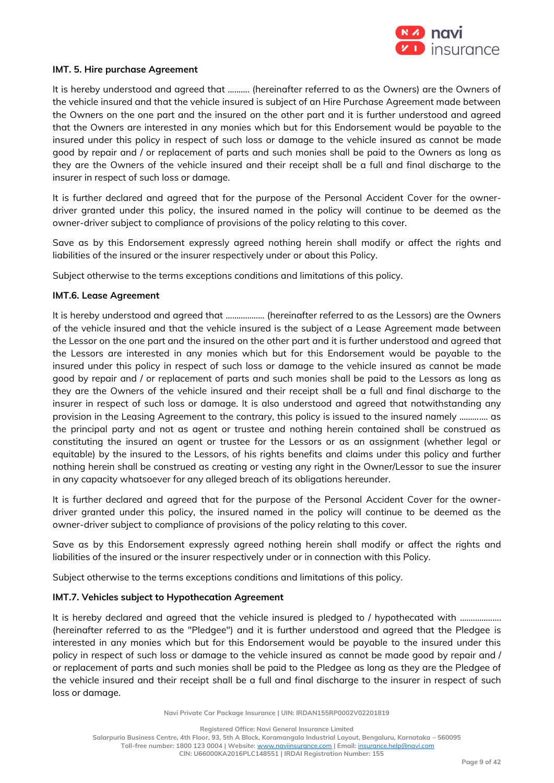

### **IMT. 5. Hire purchase Agreement**

It is hereby understood and agreed that ………. (hereinafter referred to as the Owners) are the Owners of the vehicle insured and that the vehicle insured is subject of an Hire Purchase Agreement made between the Owners on the one part and the insured on the other part and it is further understood and agreed that the Owners are interested in any monies which but for this Endorsement would be payable to the insured under this policy in respect of such loss or damage to the vehicle insured as cannot be made good by repair and / or replacement of parts and such monies shall be paid to the Owners as long as they are the Owners of the vehicle insured and their receipt shall be a full and final discharge to the insurer in respect of such loss or damage.

It is further declared and agreed that for the purpose of the Personal Accident Cover for the ownerdriver granted under this policy, the insured named in the policy will continue to be deemed as the owner-driver subject to compliance of provisions of the policy relating to this cover.

Save as by this Endorsement expressly agreed nothing herein shall modify or affect the rights and liabilities of the insured or the insurer respectively under or about this Policy.

Subject otherwise to the terms exceptions conditions and limitations of this policy.

### **IMT.6. Lease Agreement**

It is hereby understood and agreed that ……………… (hereinafter referred to as the Lessors) are the Owners of the vehicle insured and that the vehicle insured is the subject of a Lease Agreement made between the Lessor on the one part and the insured on the other part and it is further understood and agreed that the Lessors are interested in any monies which but for this Endorsement would be payable to the insured under this policy in respect of such loss or damage to the vehicle insured as cannot be made good by repair and / or replacement of parts and such monies shall be paid to the Lessors as long as they are the Owners of the vehicle insured and their receipt shall be a full and final discharge to the insurer in respect of such loss or damage. It is also understood and agreed that notwithstanding any provision in the Leasing Agreement to the contrary, this policy is issued to the insured namely …………. as the principal party and not as agent or trustee and nothing herein contained shall be construed as constituting the insured an agent or trustee for the Lessors or as an assignment (whether legal or equitable) by the insured to the Lessors, of his rights benefits and claims under this policy and further nothing herein shall be construed as creating or vesting any right in the Owner/Lessor to sue the insurer in any capacity whatsoever for any alleged breach of its obligations hereunder.

It is further declared and agreed that for the purpose of the Personal Accident Cover for the ownerdriver granted under this policy, the insured named in the policy will continue to be deemed as the owner-driver subject to compliance of provisions of the policy relating to this cover.

Save as by this Endorsement expressly agreed nothing herein shall modify or affect the rights and liabilities of the insured or the insurer respectively under or in connection with this Policy.

Subject otherwise to the terms exceptions conditions and limitations of this policy.

## **IMT.7. Vehicles subject to Hypothecation Agreement**

It is hereby declared and agreed that the vehicle insured is pledged to / hypothecated with ………………… (hereinafter referred to as the "Pledgee") and it is further understood and agreed that the Pledgee is interested in any monies which but for this Endorsement would be payable to the insured under this policy in respect of such loss or damage to the vehicle insured as cannot be made good by repair and / or replacement of parts and such monies shall be paid to the Pledgee as long as they are the Pledgee of the vehicle insured and their receipt shall be a full and final discharge to the insurer in respect of such loss or damage.

**Navi Private Car Package Insurance | UIN: IRDAN155RP0002V02201819**

**Registered Office: Navi General Insurance Limited**

**Salarpuria Business Centre, 4th Floor, 93, 5th A Block, Koramangala Industrial Layout, Bengaluru, Karnataka – 560095**

**Toll-free number: 1800 123 0004 | Website:** [www.naviinsurance.com](http://www.naviinsurance.com/) **| Email:** [insurance.help@navi.com](mailto:insurance.help@navi.com)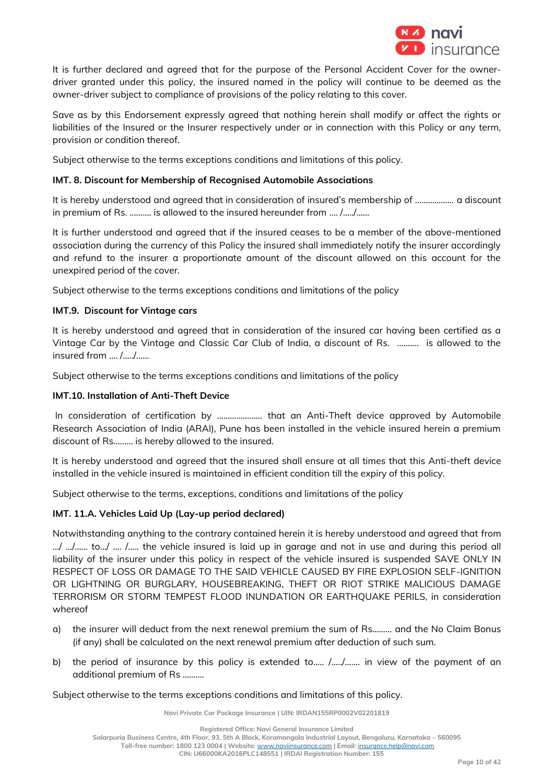

It is further declared and agreed that for the purpose of the Personal Accident Cover for the ownerdriver granted under this policy, the insured named in the policy will continue to be deemed as the owner-driver subject to compliance of provisions of the policy relating to this cover.

Save as by this Endorsement expressly agreed that nothing herein shall modify or affect the rights or liabilities of the Insured or the Insurer respectively under or in connection with this Policy or any term, provision or condition thereof.

Subject otherwise to the terms exceptions conditions and limitations of this policy.

# **IMT. 8. Discount for Membership of Recognised Automobile Associations**

It is hereby understood and agreed that in consideration of insured's membership of ……………… a discount in premium of Rs. ………. is allowed to the insured hereunder from …. /…../…...

It is further understood and agreed that if the insured ceases to be a member of the above-mentioned association during the currency of this Policy the insured shall immediately notify the insurer accordingly and refund to the insurer a proportionate amount of the discount allowed on this account for the unexpired period of the cover.

Subject otherwise to the terms exceptions conditions and limitations of the policy

# **IMT.9. Discount for Vintage cars**

It is hereby understood and agreed that in consideration of the insured car having been certified as a Vintage Car by the Vintage and Classic Car Club of India, a discount of Rs. ………. is allowed to the insured from …. /…../……

Subject otherwise to the terms exceptions conditions and limitations of the policy

## **IMT.10. Installation of Anti-Theft Device**

In consideration of certification by ………………… that an Anti-Theft device approved by Automobile Research Association of India (ARAI), Pune has been installed in the vehicle insured herein a premium discount of Rs……… is hereby allowed to the insured.

It is hereby understood and agreed that the insured shall ensure at all times that this Anti-theft device installed in the vehicle insured is maintained in efficient condition till the expiry of this policy.

Subject otherwise to the terms, exceptions, conditions and limitations of the policy

# **IMT. 11.A. Vehicles Laid Up (Lay-up period declared)**

Notwithstanding anything to the contrary contained herein it is hereby understood and agreed that from …/ …/ …......... to…/ ….. / …… the vehicle insured is laid up in garage and not in use and during this period all liability of the insurer under this policy in respect of the vehicle insured is suspended SAVE ONLY IN RESPECT OF LOSS OR DAMAGE TO THE SAID VEHICLE CAUSED BY FIRE EXPLOSION SELF-IGNITION OR LIGHTNING OR BURGLARY, HOUSEBREAKING, THEFT OR RIOT STRIKE MALICIOUS DAMAGE TERRORISM OR STORM TEMPEST FLOOD INUNDATION OR EARTHQUAKE PERILS, in consideration whereof

- a) the insurer will deduct from the next renewal premium the sum of Rs……… and the No Claim Bonus (if any) shall be calculated on the next renewal premium after deduction of such sum.
- b) the period of insurance by this policy is extended to..... /...../....... in view of the payment of an additional premium of Rs ……….

Subject otherwise to the terms exceptions conditions and limitations of this policy.

**Navi Private Car Package Insurance | UIN: IRDAN155RP0002V02201819**

**Salarpuria Business Centre, 4th Floor, 93, 5th A Block, Koramangala Industrial Layout, Bengaluru, Karnataka – 560095**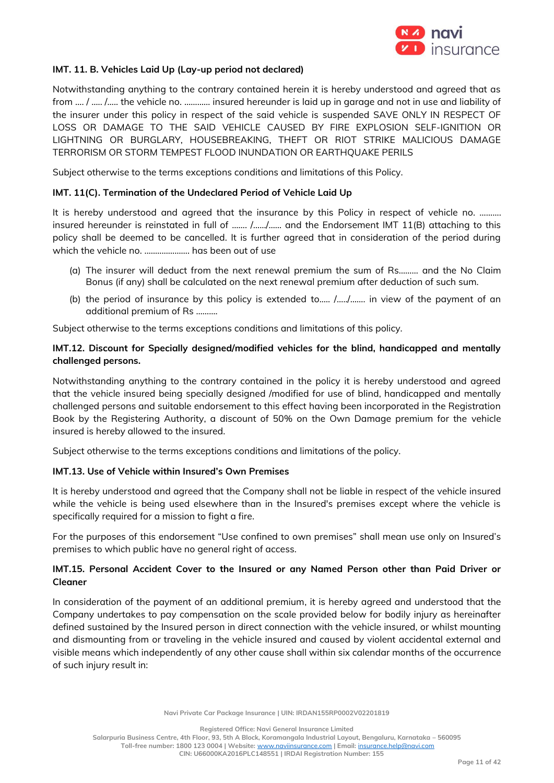

## **IMT. 11. B. Vehicles Laid Up (Lay-up period not declared)**

Notwithstanding anything to the contrary contained herein it is hereby understood and agreed that as from …. / ….. /….. the vehicle no. ………… insured hereunder is laid up in garage and not in use and liability of the insurer under this policy in respect of the said vehicle is suspended SAVE ONLY IN RESPECT OF LOSS OR DAMAGE TO THE SAID VEHICLE CAUSED BY FIRE EXPLOSION SELF-IGNITION OR LIGHTNING OR BURGLARY, HOUSEBREAKING, THEFT OR RIOT STRIKE MALICIOUS DAMAGE TERRORISM OR STORM TEMPEST FLOOD INUNDATION OR EARTHQUAKE PERILS

Subject otherwise to the terms exceptions conditions and limitations of this Policy.

### **IMT. 11(C). Termination of the Undeclared Period of Vehicle Laid Up**

It is hereby understood and agreed that the insurance by this Policy in respect of vehicle no. .......... insured hereunder is reinstated in full of ……. /……/…… and the Endorsement IMT 11(B) attaching to this policy shall be deemed to be cancelled. It is further agreed that in consideration of the period during which the vehicle no. ....................... has been out of use

- (a) The insurer will deduct from the next renewal premium the sum of Rs……… and the No Claim Bonus (if any) shall be calculated on the next renewal premium after deduction of such sum.
- (b) the period of insurance by this policy is extended to.…. /…../……. in view of the payment of an additional premium of Rs ……….

Subject otherwise to the terms exceptions conditions and limitations of this policy.

# **IMT.12. Discount for Specially designed/modified vehicles for the blind, handicapped and mentally challenged persons.**

Notwithstanding anything to the contrary contained in the policy it is hereby understood and agreed that the vehicle insured being specially designed /modified for use of blind, handicapped and mentally challenged persons and suitable endorsement to this effect having been incorporated in the Registration Book by the Registering Authority, a discount of 50% on the Own Damage premium for the vehicle insured is hereby allowed to the insured.

Subject otherwise to the terms exceptions conditions and limitations of the policy.

## **IMT.13. Use of Vehicle within Insured's Own Premises**

It is hereby understood and agreed that the Company shall not be liable in respect of the vehicle insured while the vehicle is being used elsewhere than in the Insured's premises except where the vehicle is specifically required for a mission to fight a fire.

For the purposes of this endorsement "Use confined to own premises" shall mean use only on Insured's premises to which public have no general right of access.

# **IMT.15. Personal Accident Cover to the Insured or any Named Person other than Paid Driver or Cleaner**

In consideration of the payment of an additional premium, it is hereby agreed and understood that the Company undertakes to pay compensation on the scale provided below for bodily injury as hereinafter defined sustained by the Insured person in direct connection with the vehicle insured, or whilst mounting and dismounting from or traveling in the vehicle insured and caused by violent accidental external and visible means which independently of any other cause shall within six calendar months of the occurrence of such injury result in:

**Navi Private Car Package Insurance | UIN: IRDAN155RP0002V02201819**

**Registered Office: Navi General Insurance Limited**

**Salarpuria Business Centre, 4th Floor, 93, 5th A Block, Koramangala Industrial Layout, Bengaluru, Karnataka – 560095 Toll-free number: 1800 123 0004 | Website:** [www.naviinsurance.com](http://www.naviinsurance.com/) **| Email:** [insurance.help@navi.com](mailto:insurance.help@navi.com)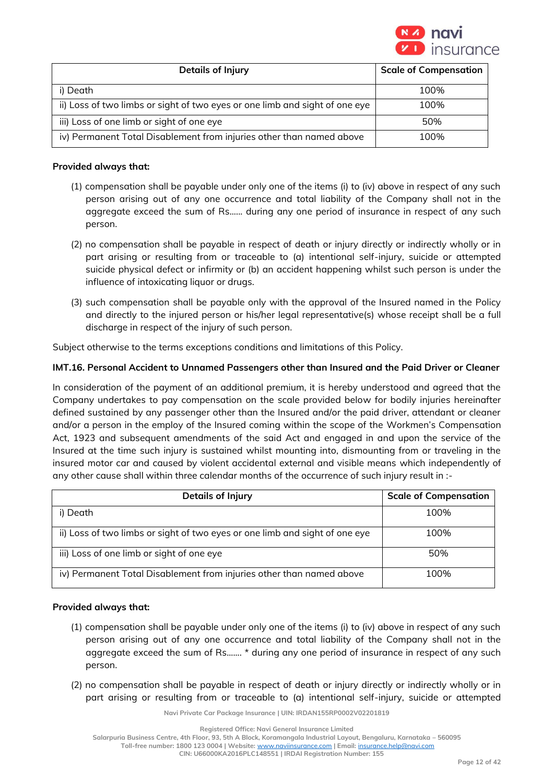

| Details of Injury                                                           | <b>Scale of Compensation</b> |
|-----------------------------------------------------------------------------|------------------------------|
| i) Death                                                                    | 100%                         |
| ii) Loss of two limbs or sight of two eyes or one limb and sight of one eye | 100%                         |
| iii) Loss of one limb or sight of one eye                                   | 50%                          |
| iv) Permanent Total Disablement from injuries other than named above        | 100%                         |

## **Provided always that:**

- (1) compensation shall be payable under only one of the items (i) to (iv) above in respect of any such person arising out of any one occurrence and total liability of the Company shall not in the aggregate exceed the sum of Rs...... during any one period of insurance in respect of any such person.
- (2) no compensation shall be payable in respect of death or injury directly or indirectly wholly or in part arising or resulting from or traceable to (a) intentional self-injury, suicide or attempted suicide physical defect or infirmity or (b) an accident happening whilst such person is under the influence of intoxicating liquor or drugs.
- (3) such compensation shall be payable only with the approval of the Insured named in the Policy and directly to the injured person or his/her legal representative(s) whose receipt shall be a full discharge in respect of the injury of such person.

Subject otherwise to the terms exceptions conditions and limitations of this Policy.

# **IMT.16. Personal Accident to Unnamed Passengers other than Insured and the Paid Driver or Cleaner**

In consideration of the payment of an additional premium, it is hereby understood and agreed that the Company undertakes to pay compensation on the scale provided below for bodily injuries hereinafter defined sustained by any passenger other than the Insured and/or the paid driver, attendant or cleaner and/or a person in the employ of the Insured coming within the scope of the Workmen's Compensation Act, 1923 and subsequent amendments of the said Act and engaged in and upon the service of the Insured at the time such injury is sustained whilst mounting into, dismounting from or traveling in the insured motor car and caused by violent accidental external and visible means which independently of any other cause shall within three calendar months of the occurrence of such injury result in :-

| <b>Details of Injury</b>                                                    | <b>Scale of Compensation</b> |
|-----------------------------------------------------------------------------|------------------------------|
| i) Death                                                                    | 100%                         |
| ii) Loss of two limbs or sight of two eyes or one limb and sight of one eye | 100%                         |
| iii) Loss of one limb or sight of one eye                                   | 50%                          |
| iv) Permanent Total Disablement from injuries other than named above        | 100%                         |

## **Provided always that:**

- (1) compensation shall be payable under only one of the items (i) to (iv) above in respect of any such person arising out of any one occurrence and total liability of the Company shall not in the aggregate exceed the sum of Rs....... \* during any one period of insurance in respect of any such person.
- (2) no compensation shall be payable in respect of death or injury directly or indirectly wholly or in part arising or resulting from or traceable to (a) intentional self-injury, suicide or attempted

**Navi Private Car Package Insurance | UIN: IRDAN155RP0002V02201819**

**Registered Office: Navi General Insurance Limited**

**Salarpuria Business Centre, 4th Floor, 93, 5th A Block, Koramangala Industrial Layout, Bengaluru, Karnataka – 560095**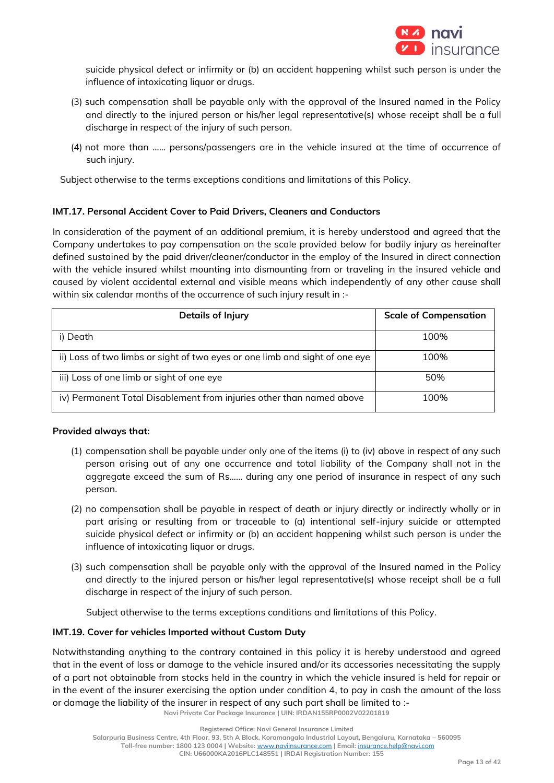

suicide physical defect or infirmity or (b) an accident happening whilst such person is under the influence of intoxicating liquor or drugs.

- (3) such compensation shall be payable only with the approval of the Insured named in the Policy and directly to the injured person or his/her legal representative(s) whose receipt shall be a full discharge in respect of the injury of such person.
- (4) not more than …... persons/passengers are in the vehicle insured at the time of occurrence of such injury.

Subject otherwise to the terms exceptions conditions and limitations of this Policy.

# **IMT.17. Personal Accident Cover to Paid Drivers, Cleaners and Conductors**

In consideration of the payment of an additional premium, it is hereby understood and agreed that the Company undertakes to pay compensation on the scale provided below for bodily injury as hereinafter defined sustained by the paid driver/cleaner/conductor in the employ of the Insured in direct connection with the vehicle insured whilst mounting into dismounting from or traveling in the insured vehicle and caused by violent accidental external and visible means which independently of any other cause shall within six calendar months of the occurrence of such injury result in :-

| Details of Injury                                                           | <b>Scale of Compensation</b> |
|-----------------------------------------------------------------------------|------------------------------|
| i) Death                                                                    | 100%                         |
| ii) Loss of two limbs or sight of two eyes or one limb and sight of one eye | 100%                         |
| iii) Loss of one limb or sight of one eye                                   | 50%                          |
| iv) Permanent Total Disablement from injuries other than named above        | 100%                         |

## **Provided always that:**

- (1) compensation shall be payable under only one of the items (i) to (iv) above in respect of any such person arising out of any one occurrence and total liability of the Company shall not in the aggregate exceed the sum of Rs...... during any one period of insurance in respect of any such person.
- (2) no compensation shall be payable in respect of death or injury directly or indirectly wholly or in part arising or resulting from or traceable to (a) intentional self-injury suicide or attempted suicide physical defect or infirmity or (b) an accident happening whilst such person is under the influence of intoxicating liquor or drugs.
- (3) such compensation shall be payable only with the approval of the Insured named in the Policy and directly to the injured person or his/her legal representative(s) whose receipt shall be a full discharge in respect of the injury of such person.

Subject otherwise to the terms exceptions conditions and limitations of this Policy.

## **IMT.19. Cover for vehicles Imported without Custom Duty**

Notwithstanding anything to the contrary contained in this policy it is hereby understood and agreed that in the event of loss or damage to the vehicle insured and/or its accessories necessitating the supply of a part not obtainable from stocks held in the country in which the vehicle insured is held for repair or in the event of the insurer exercising the option under condition 4, to pay in cash the amount of the loss or damage the liability of the insurer in respect of any such part shall be limited to :-

**Navi Private Car Package Insurance | UIN: IRDAN155RP0002V02201819**

**Toll-free number: 1800 123 0004 | Website:** [www.naviinsurance.com](http://www.naviinsurance.com/) **| Email:** [insurance.help@navi.com](mailto:insurance.help@navi.com)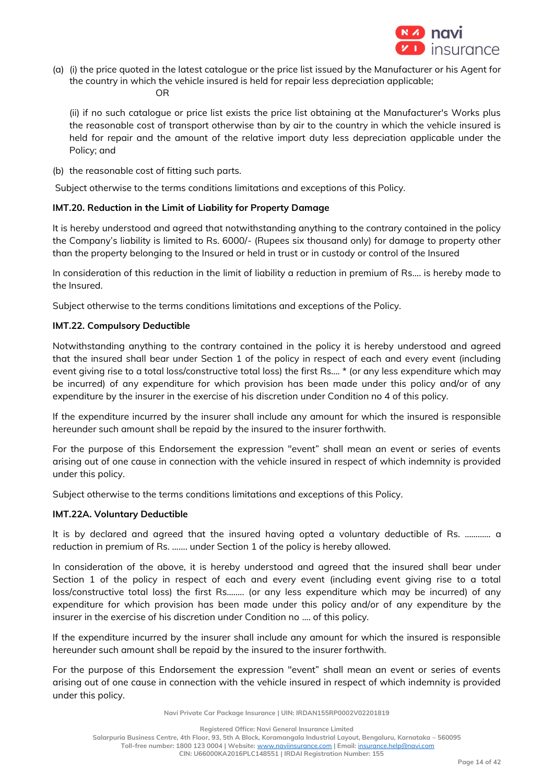

(a) (i) the price quoted in the latest catalogue or the price list issued by the Manufacturer or his Agent for the country in which the vehicle insured is held for repair less depreciation applicable; OR

(ii) if no such catalogue or price list exists the price list obtaining at the Manufacturer's Works plus the reasonable cost of transport otherwise than by air to the country in which the vehicle insured is held for repair and the amount of the relative import duty less depreciation applicable under the Policy; and

(b) the reasonable cost of fitting such parts.

Subject otherwise to the terms conditions limitations and exceptions of this Policy.

# **IMT.20. Reduction in the Limit of Liability for Property Damage**

It is hereby understood and agreed that notwithstanding anything to the contrary contained in the policy the Company's liability is limited to Rs. 6000/- (Rupees six thousand only) for damage to property other than the property belonging to the Insured or held in trust or in custody or control of the Insured

In consideration of this reduction in the limit of liability a reduction in premium of Rs…. is hereby made to the Insured.

Subject otherwise to the terms conditions limitations and exceptions of the Policy.

# **IMT.22. Compulsory Deductible**

Notwithstanding anything to the contrary contained in the policy it is hereby understood and agreed that the insured shall bear under Section 1 of the policy in respect of each and every event (including event giving rise to a total loss/constructive total loss) the first Rs.... \* (or any less expenditure which may be incurred) of any expenditure for which provision has been made under this policy and/or of any expenditure by the insurer in the exercise of his discretion under Condition no 4 of this policy.

If the expenditure incurred by the insurer shall include any amount for which the insured is responsible hereunder such amount shall be repaid by the insured to the insurer forthwith.

For the purpose of this Endorsement the expression "event" shall mean an event or series of events arising out of one cause in connection with the vehicle insured in respect of which indemnity is provided under this policy.

Subject otherwise to the terms conditions limitations and exceptions of this Policy.

## **IMT.22A. Voluntary Deductible**

It is by declared and agreed that the insured having opted a voluntary deductible of Rs. ………… a reduction in premium of Rs. ……. under Section 1 of the policy is hereby allowed.

In consideration of the above, it is hereby understood and agreed that the insured shall bear under Section 1 of the policy in respect of each and every event (including event giving rise to a total loss/constructive total loss) the first Rs.……. (or any less expenditure which may be incurred) of any expenditure for which provision has been made under this policy and/or of any expenditure by the insurer in the exercise of his discretion under Condition no …. of this policy.

If the expenditure incurred by the insurer shall include any amount for which the insured is responsible hereunder such amount shall be repaid by the insured to the insurer forthwith.

For the purpose of this Endorsement the expression "event" shall mean an event or series of events arising out of one cause in connection with the vehicle insured in respect of which indemnity is provided under this policy.

**Navi Private Car Package Insurance | UIN: IRDAN155RP0002V02201819**

**Registered Office: Navi General Insurance Limited**

**Toll-free number: 1800 123 0004 | Website:** [www.naviinsurance.com](http://www.naviinsurance.com/) **| Email:** [insurance.help@navi.com](mailto:insurance.help@navi.com) **CIN: U66000KA2016PLC148551 | IRDAI Registration Number: 155**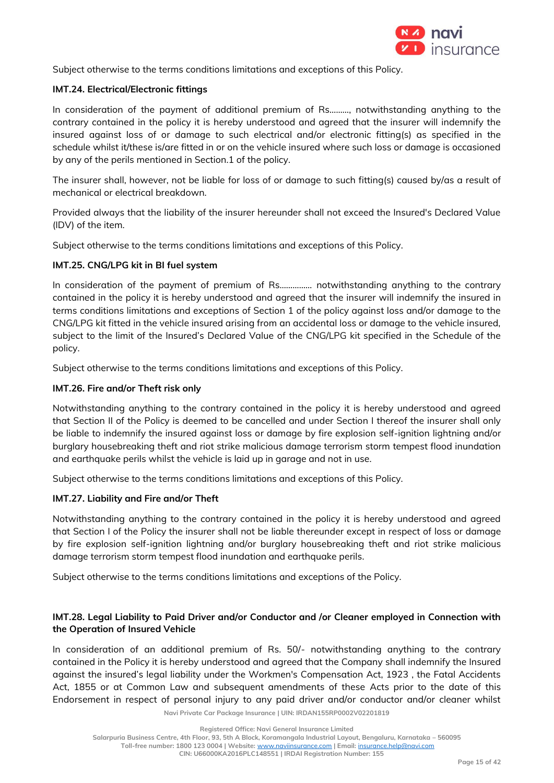

Subject otherwise to the terms conditions limitations and exceptions of this Policy.

# **IMT.24. Electrical/Electronic fittings**

In consideration of the payment of additional premium of Rs………, notwithstanding anything to the contrary contained in the policy it is hereby understood and agreed that the insurer will indemnify the insured against loss of or damage to such electrical and/or electronic fitting(s) as specified in the schedule whilst it/these is/are fitted in or on the vehicle insured where such loss or damage is occasioned by any of the perils mentioned in Section.1 of the policy.

The insurer shall, however, not be liable for loss of or damage to such fitting(s) caused by/as a result of mechanical or electrical breakdown.

Provided always that the liability of the insurer hereunder shall not exceed the Insured's Declared Value (IDV) of the item.

Subject otherwise to the terms conditions limitations and exceptions of this Policy.

# **IMT.25. CNG/LPG kit in BI fuel system**

In consideration of the payment of premium of Rs…………… notwithstanding anything to the contrary contained in the policy it is hereby understood and agreed that the insurer will indemnify the insured in terms conditions limitations and exceptions of Section 1 of the policy against loss and/or damage to the CNG/LPG kit fitted in the vehicle insured arising from an accidental loss or damage to the vehicle insured, subject to the limit of the Insured's Declared Value of the CNG/LPG kit specified in the Schedule of the policy.

Subject otherwise to the terms conditions limitations and exceptions of this Policy.

# **IMT.26. Fire and/or Theft risk only**

Notwithstanding anything to the contrary contained in the policy it is hereby understood and agreed that Section II of the Policy is deemed to be cancelled and under Section I thereof the insurer shall only be liable to indemnify the insured against loss or damage by fire explosion self-ignition lightning and/or burglary housebreaking theft and riot strike malicious damage terrorism storm tempest flood inundation and earthquake perils whilst the vehicle is laid up in garage and not in use.

Subject otherwise to the terms conditions limitations and exceptions of this Policy.

## **IMT.27. Liability and Fire and/or Theft**

Notwithstanding anything to the contrary contained in the policy it is hereby understood and agreed that Section I of the Policy the insurer shall not be liable thereunder except in respect of loss or damage by fire explosion self-ignition lightning and/or burglary housebreaking theft and riot strike malicious damage terrorism storm tempest flood inundation and earthquake perils.

Subject otherwise to the terms conditions limitations and exceptions of the Policy.

# **IMT.28. Legal Liability to Paid Driver and/or Conductor and /or Cleaner employed in Connection with the Operation of Insured Vehicle**

In consideration of an additional premium of Rs. 50/- notwithstanding anything to the contrary contained in the Policy it is hereby understood and agreed that the Company shall indemnify the Insured against the insured's legal liability under the Workmen's Compensation Act, 1923 , the Fatal Accidents Act, 1855 or at Common Law and subsequent amendments of these Acts prior to the date of this Endorsement in respect of personal injury to any paid driver and/or conductor and/or cleaner whilst

**Navi Private Car Package Insurance | UIN: IRDAN155RP0002V02201819**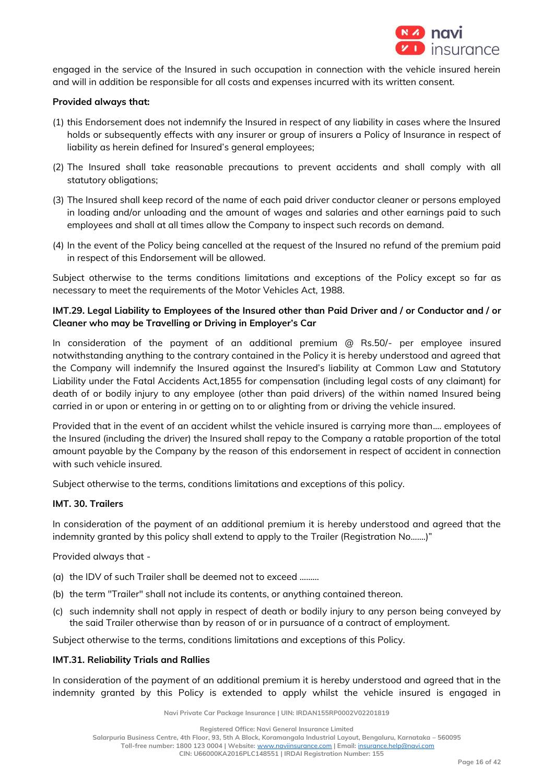

engaged in the service of the Insured in such occupation in connection with the vehicle insured herein and will in addition be responsible for all costs and expenses incurred with its written consent.

### **Provided always that:**

- (1) this Endorsement does not indemnify the Insured in respect of any liability in cases where the Insured holds or subsequently effects with any insurer or group of insurers a Policy of Insurance in respect of liability as herein defined for Insured's general employees;
- (2) The Insured shall take reasonable precautions to prevent accidents and shall comply with all statutory obligations;
- (3) The Insured shall keep record of the name of each paid driver conductor cleaner or persons employed in loading and/or unloading and the amount of wages and salaries and other earnings paid to such employees and shall at all times allow the Company to inspect such records on demand.
- (4) In the event of the Policy being cancelled at the request of the Insured no refund of the premium paid in respect of this Endorsement will be allowed.

Subject otherwise to the terms conditions limitations and exceptions of the Policy except so far as necessary to meet the requirements of the Motor Vehicles Act, 1988.

# **IMT.29. Legal Liability to Employees of the Insured other than Paid Driver and / or Conductor and / or Cleaner who may be Travelling or Driving in Employer's Car**

In consideration of the payment of an additional premium  $\textcircled{a}$  Rs.50/- per employee insured notwithstanding anything to the contrary contained in the Policy it is hereby understood and agreed that the Company will indemnify the Insured against the Insured's liability at Common Law and Statutory Liability under the Fatal Accidents Act,1855 for compensation (including legal costs of any claimant) for death of or bodily injury to any employee (other than paid drivers) of the within named Insured being carried in or upon or entering in or getting on to or alighting from or driving the vehicle insured.

Provided that in the event of an accident whilst the vehicle insured is carrying more than.... employees of the Insured (including the driver) the Insured shall repay to the Company a ratable proportion of the total amount payable by the Company by the reason of this endorsement in respect of accident in connection with such vehicle insured.

Subject otherwise to the terms, conditions limitations and exceptions of this policy.

## **IMT. 30. Trailers**

In consideration of the payment of an additional premium it is hereby understood and agreed that the indemnity granted by this policy shall extend to apply to the Trailer (Registration No.......)"

Provided always that -

- (a) the IDV of such Trailer shall be deemed not to exceed ………
- (b) the term "Trailer" shall not include its contents, or anything contained thereon.
- (c) such indemnity shall not apply in respect of death or bodily injury to any person being conveyed by the said Trailer otherwise than by reason of or in pursuance of a contract of employment.

Subject otherwise to the terms, conditions limitations and exceptions of this Policy.

#### **IMT.31. Reliability Trials and Rallies**

In consideration of the payment of an additional premium it is hereby understood and agreed that in the indemnity granted by this Policy is extended to apply whilst the vehicle insured is engaged in

**Navi Private Car Package Insurance | UIN: IRDAN155RP0002V02201819**

**Registered Office: Navi General Insurance Limited**

**Salarpuria Business Centre, 4th Floor, 93, 5th A Block, Koramangala Industrial Layout, Bengaluru, Karnataka – 560095**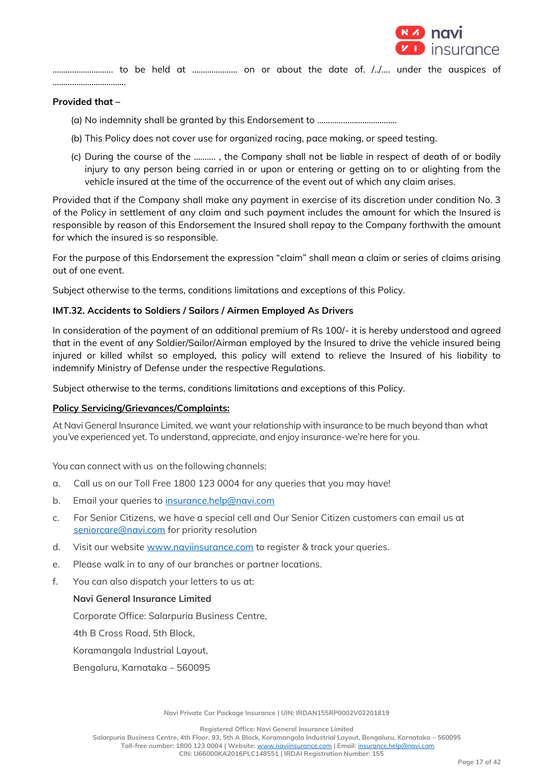

………………………. to be held at ………………… on or about the date of. /../…. under the auspices of …………………………….

### **Provided that –**

- (a) No indemnity shall be granted by this Endorsement to ……………………………….
- (b) This Policy does not cover use for organized racing, pace making, or speed testing.
- (c) During the course of the ………. , the Company shall not be liable in respect of death of or bodily injury to any person being carried in or upon or entering or getting on to or alighting from the vehicle insured at the time of the occurrence of the event out of which any claim arises.

Provided that if the Company shall make any payment in exercise of its discretion under condition No. 3 of the Policy in settlement of any claim and such payment includes the amount for which the Insured is responsible by reason of this Endorsement the Insured shall repay to the Company forthwith the amount for which the insured is so responsible.

For the purpose of this Endorsement the expression "claim" shall mean a claim or series of claims arising out of one event.

Subject otherwise to the terms, conditions limitations and exceptions of this Policy.

### **IMT.32. Accidents to Soldiers / Sailors / Airmen Employed As Drivers**

In consideration of the payment of an additional premium of Rs 100/- it is hereby understood and agreed that in the event of any Soldier/Sailor/Airman employed by the Insured to drive the vehicle insured being injured or killed whilst so employed, this policy will extend to relieve the Insured of his liability to indemnify Ministry of Defense under the respective Regulations.

Subject otherwise to the terms, conditions limitations and exceptions of this Policy.

## **Policy Servicing/Grievances/Complaints:**

At Navi General Insurance Limited, we want your relationship with insurance to be much beyond than what you've experienced yet. To understand, appreciate, and enjoy insurance-we're here for you.

You can connect with us on the following channels:

- a. Call us on our Toll Free 1800 123 0004 for any queries that you may have!
- b. Email your queries to [insurance.help@navi.com](mailto:insurance.help@navi.com)
- c. For Senior Citizens, we have a special cell and Our Senior Citizen customers can email us at [seniorcare@navi.com](mailto:seniorcare@navi.com) for priority resolution
- d. Visit our website [www.naviinsurance.com](http://www.naviinsurance.com/) to register & track your queries.
- e. Please walk in to any of our branches or partner locations.
- f. You can also dispatch your letters to us at:

## **Navi General Insurance Limited**

Corporate Office: Salarpuria Business Centre,

4th B Cross Road, 5th Block,

Koramangala Industrial Layout,

Bengaluru, Karnataka – 560095

**Navi Private Car Package Insurance | UIN: IRDAN155RP0002V02201819**

**Registered Office: Navi General Insurance Limited**

**Salarpuria Business Centre, 4th Floor, 93, 5th A Block, Koramangala Industrial Layout, Bengaluru, Karnataka – 560095**

**Toll-free number: 1800 123 0004 | Website:** [www.naviinsurance.com](http://www.naviinsurance.com/) **| Email:** [insurance.help@navi.com](mailto:insurance.help@navi.com)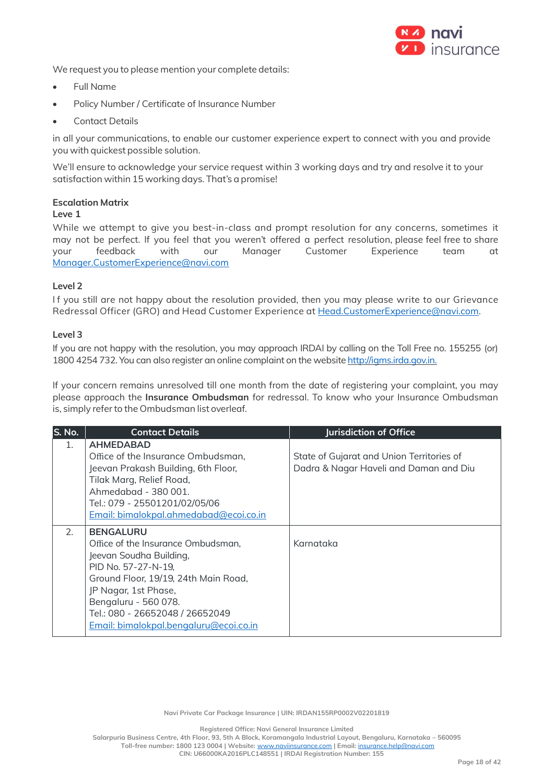

We request you to please mention your complete details:

- Full Name
- Policy Number / Certificate of Insurance Number
- Contact Details

in all your communications, to enable our customer experience expert to connect with you and provide you with quickest possible solution.

We'll ensure to acknowledge your service request within 3 working days and try and resolve it to your satisfaction within 15 working days. That's a promise!

# **Escalation Matrix**

## **Leve 1**

While we attempt to give you best-in-class and prompt resolution for any concerns, sometimes it may not be perfect. If you feel that you weren't offered a perfect resolution, please feel free to share your feedback with our Manager Customer Experience team at Manager.CustomerExperience@navi.com

## **Level 2**

If you still are not happy about the resolution provided, then you may please write to our Grievance Redressal Officer (GRO) and Head Customer Experience a[t Head.CustomerExperience@navi.com.](mailto:Head.CustomerExperience@cocogeneralinsurance.com)

## **Level 3**

If you are not happy with the resolution, you may approach IRDAI by calling on the Toll Free no. 155255 (or) 1800 4254 732. You can also register an online complaint on the website [http://igms.irda.gov.in.](http://igms.irda.gov.in/)

If your concern remains unresolved till one month from the date of registering your complaint, you may please approach the **Insurance Ombudsman** for redressal. To know who your Insurance Ombudsman is, simply referto the Ombudsman list overleaf.

| S. No.  | <b>Contact Details</b>                 | Jurisdiction of Office                    |
|---------|----------------------------------------|-------------------------------------------|
| $1_{-}$ | <b>AHMEDABAD</b>                       |                                           |
|         | Office of the Insurance Ombudsman,     | State of Gujarat and Union Territories of |
|         | Jeevan Prakash Building, 6th Floor,    | Dadra & Nagar Haveli and Daman and Diu    |
|         | Tilak Marg, Relief Road,               |                                           |
|         | Ahmedabad - 380 001.                   |                                           |
|         | Tel.: 079 - 25501201/02/05/06          |                                           |
|         | Email: bimalokpal.ahmedabad@ecoi.co.in |                                           |
| 2.      | <b>BENGALURU</b>                       |                                           |
|         | Office of the Insurance Ombudsman.     | Karnataka                                 |
|         | Jeevan Soudha Building,                |                                           |
|         | PID No. 57-27-N-19,                    |                                           |
|         | Ground Floor, 19/19, 24th Main Road,   |                                           |
|         | JP Nagar, 1st Phase,                   |                                           |
|         | Bengaluru - 560 078.                   |                                           |
|         | Tel.: 080 - 26652048 / 26652049        |                                           |
|         | Email: bimalokpal.bengaluru@ecoi.co.in |                                           |

**Navi Private Car Package Insurance | UIN: IRDAN155RP0002V02201819**

**Registered Office: Navi General Insurance Limited**

**Salarpuria Business Centre, 4th Floor, 93, 5th A Block, Koramangala Industrial Layout, Bengaluru, Karnataka – 560095**

**Toll-free number: 1800 123 0004 | Website:** [www.naviinsurance.com](http://www.naviinsurance.com/) **| Email:** [insurance.help@navi.com](mailto:insurance.help@navi.com)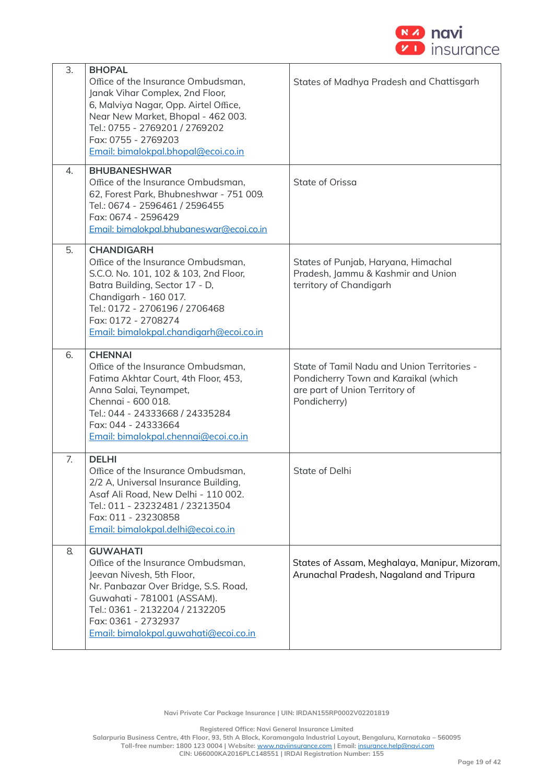

| 3. | <b>BHOPAL</b><br>Office of the Insurance Ombudsman,<br>Janak Vihar Complex, 2nd Floor,<br>6, Malviya Nagar, Opp. Airtel Office,<br>Near New Market, Bhopal - 462 003.<br>Tel.: 0755 - 2769201 / 2769202<br>Fax: 0755 - 2769203<br>Email: bimalokpal.bhopal@ecoi.co.in | States of Madhya Pradesh and Chattisgarh                                                                                              |  |
|----|-----------------------------------------------------------------------------------------------------------------------------------------------------------------------------------------------------------------------------------------------------------------------|---------------------------------------------------------------------------------------------------------------------------------------|--|
| 4. | <b>BHUBANESHWAR</b><br>Office of the Insurance Ombudsman,<br>62, Forest Park, Bhubneshwar - 751 009.<br>Tel.: 0674 - 2596461 / 2596455<br>Fax: 0674 - 2596429<br>Email: bimalokpal.bhubaneswar@ecoi.co.in                                                             | State of Orissa                                                                                                                       |  |
| 5. | <b>CHANDIGARH</b><br>Office of the Insurance Ombudsman,<br>S.C.O. No. 101, 102 & 103, 2nd Floor,<br>Batra Building, Sector 17 - D,<br>Chandigarh - 160 017.<br>Tel.: 0172 - 2706196 / 2706468<br>Fax: 0172 - 2708274<br>Email: bimalokpal.chandigarh@ecoi.co.in       | States of Punjab, Haryana, Himachal<br>Pradesh, Jammu & Kashmir and Union<br>territory of Chandigarh                                  |  |
| 6. | <b>CHENNAI</b><br>Office of the Insurance Ombudsman,<br>Fatima Akhtar Court, 4th Floor, 453,<br>Anna Salai, Teynampet,<br>Chennai - 600 018.<br>Tel.: 044 - 24333668 / 24335284<br>Fax: 044 - 24333664<br>Email: bimalokpal.chennai@ecoi.co.in                        | State of Tamil Nadu and Union Territories -<br>Pondicherry Town and Karaikal (which<br>are part of Union Territory of<br>Pondicherry) |  |
| 7. | <b>DELHI</b><br>Office of the Insurance Ombudsman,<br>2/2 A, Universal Insurance Building,<br>Asaf Ali Road, New Delhi - 110 002.<br>Tel.: 011 - 23232481 / 23213504<br>Fax: 011 - 23230858<br>Email: bimalokpal.delhi@ecoi.co.in                                     | State of Delhi                                                                                                                        |  |
| 8. | <b>GUWAHATI</b><br>Office of the Insurance Ombudsman,<br>Jeevan Nivesh, 5th Floor,<br>Nr. Panbazar Over Bridge, S.S. Road,<br>Guwahati - 781001 (ASSAM).<br>Tel.: 0361 - 2132204 / 2132205<br>Fax: 0361 - 2732937<br>Email: bimalokpal.guwahati@ecoi.co.in            | States of Assam, Meghalaya, Manipur, Mizoram,<br>Arunachal Pradesh, Nagaland and Tripura                                              |  |

**Registered Office: Navi General Insurance Limited**

**Salarpuria Business Centre, 4th Floor, 93, 5th A Block, Koramangala Industrial Layout, Bengaluru, Karnataka – 560095**

**Toll-free number: 1800 123 0004 | Website:** [www.naviinsurance.com](http://www.naviinsurance.com/) **| Email:** [insurance.help@navi.com](mailto:insurance.help@navi.com)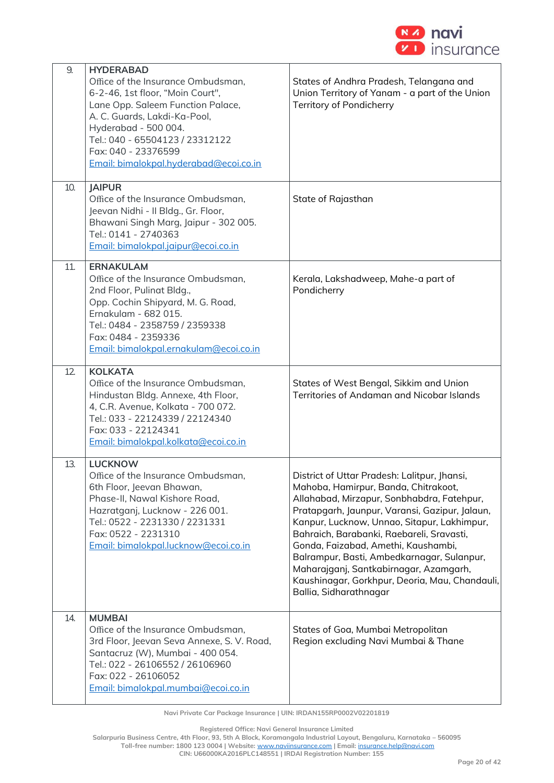

| 9.  | <b>HYDERABAD</b><br>Office of the Insurance Ombudsman,<br>6-2-46, 1st floor, "Moin Court",<br>Lane Opp. Saleem Function Palace,<br>A. C. Guards, Lakdi-Ka-Pool,<br>Hyderabad - 500 004.<br>Tel.: 040 - 65504123 / 23312122<br>Fax: 040 - 23376599<br>Email: bimalokpal.hyderabad@ecoi.co.in | States of Andhra Pradesh, Telangana and<br>Union Territory of Yanam - a part of the Union<br>Territory of Pondicherry                                                                                                                                                                                                                                                                                                                                                                       |
|-----|---------------------------------------------------------------------------------------------------------------------------------------------------------------------------------------------------------------------------------------------------------------------------------------------|---------------------------------------------------------------------------------------------------------------------------------------------------------------------------------------------------------------------------------------------------------------------------------------------------------------------------------------------------------------------------------------------------------------------------------------------------------------------------------------------|
| 10. | <b>JAIPUR</b><br>Office of the Insurance Ombudsman,<br>Jeevan Nidhi - Il Bldg., Gr. Floor,<br>Bhawani Singh Marg, Jaipur - 302 005.<br>Tel.: 0141 - 2740363<br>Email: bimalokpal.jaipur@ecoi.co.in                                                                                          | State of Rajasthan                                                                                                                                                                                                                                                                                                                                                                                                                                                                          |
| 11. | <b>ERNAKULAM</b><br>Office of the Insurance Ombudsman,<br>2nd Floor, Pulinat Bldg.,<br>Opp. Cochin Shipyard, M. G. Road,<br>Ernakulam - 682 015.<br>Tel.: 0484 - 2358759 / 2359338<br>Fax: 0484 - 2359336<br>Email: bimalokpal.ernakulam@ecoi.co.in                                         | Kerala, Lakshadweep, Mahe-a part of<br>Pondicherry                                                                                                                                                                                                                                                                                                                                                                                                                                          |
| 12. | <b>KOLKATA</b><br>Office of the Insurance Ombudsman,<br>Hindustan Bldg. Annexe, 4th Floor,<br>4, C.R. Avenue, Kolkata - 700 072.<br>Tel.: 033 - 22124339 / 22124340<br>Fax: 033 - 22124341<br>Email: bimalokpal.kolkata@ecoi.co.in                                                          | States of West Bengal, Sikkim and Union<br>Territories of Andaman and Nicobar Islands                                                                                                                                                                                                                                                                                                                                                                                                       |
| 13. | <b>LUCKNOW</b><br>Office of the Insurance Ombudsman,<br>6th Floor, Jeevan Bhawan,<br>Phase-II, Nawal Kishore Road,<br>Hazratganj, Lucknow - 226 001.<br>Tel.: 0522 - 2231330 / 2231331<br>Fax: 0522 - 2231310<br>Email: bimalokpal.lucknow@ecoi.co.in                                       | District of Uttar Pradesh: Lalitpur, Jhansi,<br>Mahoba, Hamirpur, Banda, Chitrakoot,<br>Allahabad, Mirzapur, Sonbhabdra, Fatehpur,<br>Pratapgarh, Jaunpur, Varansi, Gazipur, Jalaun,<br>Kanpur, Lucknow, Unnao, Sitapur, Lakhimpur,<br>Bahraich, Barabanki, Raebareli, Sravasti,<br>Gonda, Faizabad, Amethi, Kaushambi,<br>Balrampur, Basti, Ambedkarnagar, Sulanpur,<br>Maharajganj, Santkabirnagar, Azamgarh,<br>Kaushinagar, Gorkhpur, Deoria, Mau, Chandauli,<br>Ballia, Sidharathnagar |
| 14. | <b>MUMBAI</b><br>Office of the Insurance Ombudsman,<br>3rd Floor, Jeevan Seva Annexe, S. V. Road,<br>Santacruz (W), Mumbai - 400 054.<br>Tel.: 022 - 26106552 / 26106960<br>Fax: 022 - 26106052<br>Email: bimalokpal.mumbai@ecoi.co.in                                                      | States of Goa, Mumbai Metropolitan<br>Region excluding Navi Mumbai & Thane                                                                                                                                                                                                                                                                                                                                                                                                                  |

**Navi Private Car Package Insurance | UIN: IRDAN155RP0002V02201819**

**Registered Office: Navi General Insurance Limited**

**Salarpuria Business Centre, 4th Floor, 93, 5th A Block, Koramangala Industrial Layout, Bengaluru, Karnataka – 560095**

**CIN: U66000KA2016PLC148551 | IRDAI Registration Number: 155**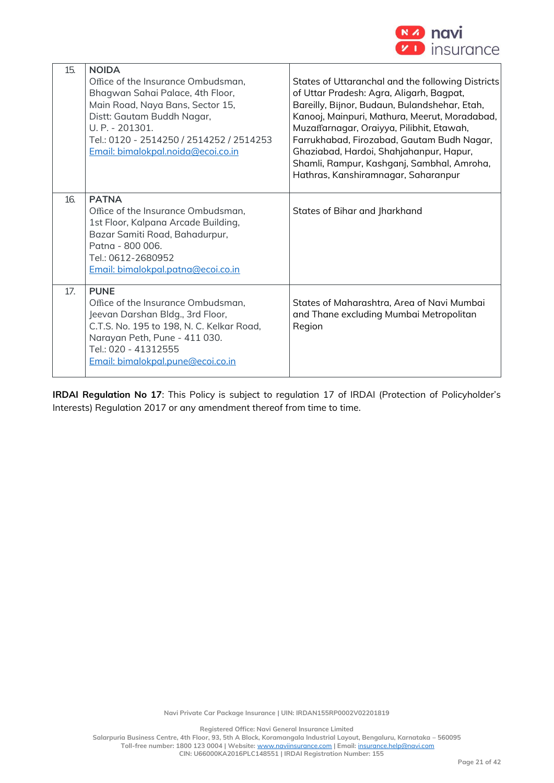

| 15. | <b>NOIDA</b><br>Office of the Insurance Ombudsman,<br>Bhagwan Sahai Palace, 4th Floor,<br>Main Road, Naya Bans, Sector 15,<br>Distt: Gautam Buddh Nagar,<br>U. P. - 201301.<br>Tel.: 0120 - 2514250 / 2514252 / 2514253<br>Email: bimalokpal.noida@ecoi.co.in | States of Uttaranchal and the following Districts<br>of Uttar Pradesh: Agra, Aligarh, Bagpat,<br>Bareilly, Bijnor, Budaun, Bulandshehar, Etah,<br>Kanooj, Mainpuri, Mathura, Meerut, Moradabad,<br>Muzaffarnagar, Oraiyya, Pilibhit, Etawah,<br>Farrukhabad, Firozabad, Gautam Budh Nagar,<br>Ghaziabad, Hardoi, Shahjahanpur, Hapur,<br>Shamli, Rampur, Kashganj, Sambhal, Amroha,<br>Hathras, Kanshiramnagar, Saharanpur |
|-----|---------------------------------------------------------------------------------------------------------------------------------------------------------------------------------------------------------------------------------------------------------------|----------------------------------------------------------------------------------------------------------------------------------------------------------------------------------------------------------------------------------------------------------------------------------------------------------------------------------------------------------------------------------------------------------------------------|
| 16. | <b>PATNA</b><br>Office of the Insurance Ombudsman,<br>1st Floor, Kalpana Arcade Building,<br>Bazar Samiti Road, Bahadurpur,<br>Patna - 800 006.<br>Tel.: 0612-2680952<br>Email: bimalokpal.patna@ecoi.co.in                                                   | States of Bihar and Jharkhand                                                                                                                                                                                                                                                                                                                                                                                              |
| 17. | <b>PUNE</b><br>Office of the Insurance Ombudsman,<br>Jeevan Darshan Bldg., 3rd Floor,<br>C.T.S. No. 195 to 198, N. C. Kelkar Road,<br>Narayan Peth, Pune - 411 030.<br>Tel.: 020 - 41312555<br>Email: bimalokpal.pune@ecoi.co.in                              | States of Maharashtra, Area of Navi Mumbai<br>and Thane excluding Mumbai Metropolitan<br>Region                                                                                                                                                                                                                                                                                                                            |

**IRDAI Regulation No 17**: This Policy is subject to regulation 17 of IRDAI (Protection of Policyholder's Interests) Regulation 2017 or any amendment thereof from time to time.

**Registered Office: Navi General Insurance Limited Salarpuria Business Centre, 4th Floor, 93, 5th A Block, Koramangala Industrial Layout, Bengaluru, Karnataka – 560095 Toll-free number: 1800 123 0004 | Website:** [www.naviinsurance.com](http://www.naviinsurance.com/) **| Email:** [insurance.help@navi.com](mailto:insurance.help@navi.com) **CIN: U66000KA2016PLC148551 | IRDAI Registration Number: 155**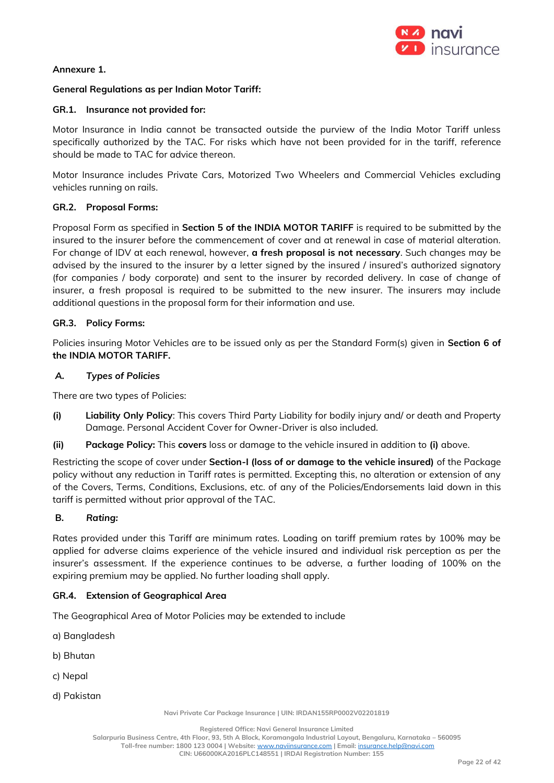

## **Annexure 1.**

## **General Regulations as per Indian Motor Tariff:**

### **GR.1. Insurance not provided for:**

Motor Insurance in India cannot be transacted outside the purview of the India Motor Tariff unless specifically authorized by the TAC. For risks which have not been provided for in the tariff, reference should be made to TAC for advice thereon.

Motor Insurance includes Private Cars, Motorized Two Wheelers and Commercial Vehicles excluding vehicles running on rails.

## **GR.2. Proposal Forms:**

Proposal Form as specified in **Section 5 of the INDIA MOTOR TARIFF** is required to be submitted by the insured to the insurer before the commencement of cover and at renewal in case of material alteration. For change of IDV at each renewal, however, **a fresh proposal is not necessary**. Such changes may be advised by the insured to the insurer by a letter signed by the insured / insured's authorized signatory (for companies / body corporate) and sent to the insurer by recorded delivery. In case of change of insurer, a fresh proposal is required to be submitted to the new insurer. The insurers may include additional questions in the proposal form for their information and use.

### **GR.3. Policy Forms:**

Policies insuring Motor Vehicles are to be issued only as per the Standard Form(s) given in **Section 6 of the INDIA MOTOR TARIFF.**

### *A. Types of Policies*

There are two types of Policies:

- **(i) Liability Only Policy**: This covers Third Party Liability for bodily injury and/ or death and Property Damage. Personal Accident Cover for Owner-Driver is also included.
- **(ii) Package Policy:** This **covers** loss or damage to the vehicle insured in addition to **(i)** above.

Restricting the scope of cover under **Section-I (loss of or damage to the vehicle insured)** of the Package policy without any reduction in Tariff rates is permitted. Excepting this, no alteration or extension of any of the Covers, Terms, Conditions, Exclusions, etc. of any of the Policies/Endorsements laid down in this tariff is permitted without prior approval of the TAC.

## **B.** *Rating:*

Rates provided under this Tariff are minimum rates. Loading on tariff premium rates by 100% may be applied for adverse claims experience of the vehicle insured and individual risk perception as per the insurer's assessment. If the experience continues to be adverse, a further loading of 100% on the expiring premium may be applied. No further loading shall apply.

#### **GR.4. Extension of Geographical Area**

The Geographical Area of Motor Policies may be extended to include

- a) Bangladesh
- b) Bhutan
- c) Nepal
- d) Pakistan

**Navi Private Car Package Insurance | UIN: IRDAN155RP0002V02201819**

**Salarpuria Business Centre, 4th Floor, 93, 5th A Block, Koramangala Industrial Layout, Bengaluru, Karnataka – 560095**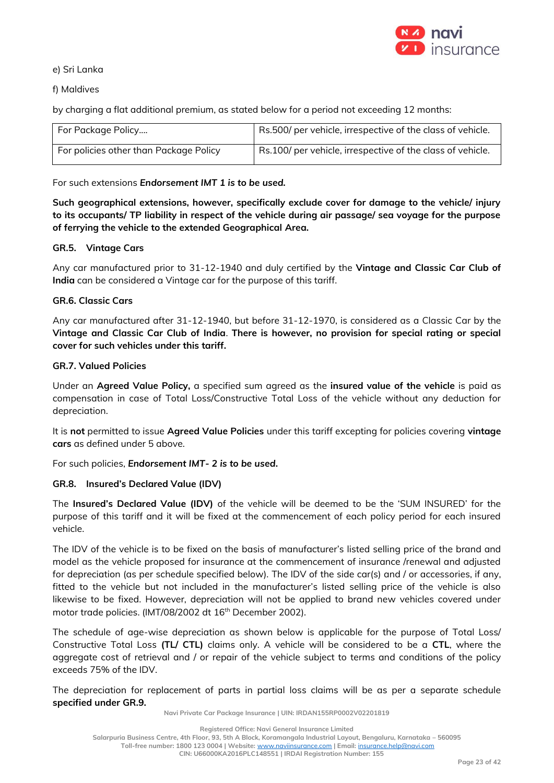

e) Sri Lanka

f) Maldives

by charging a flat additional premium, as stated below for a period not exceeding 12 months:

| For Package Policy                     | Rs.500/ per vehicle, irrespective of the class of vehicle. |
|----------------------------------------|------------------------------------------------------------|
| For policies other than Package Policy | Rs.100/ per vehicle, irrespective of the class of vehicle. |

For such extensions *Endorsement IMT 1 is to be used.*

**Such geographical extensions, however, specifically exclude cover for damage to the vehicle/ injury to its occupants/ TP liability in respect of the vehicle during air passage/ sea voyage for the purpose of ferrying the vehicle to the extended Geographical Area.** 

# **GR.5. Vintage Cars**

Any car manufactured prior to 31-12-1940 and duly certified by the **Vintage and Classic Car Club of India** can be considered a Vintage car for the purpose of this tariff.

# **GR.6. Classic Cars**

Any car manufactured after 31-12-1940, but before 31-12-1970, is considered as a Classic Car by the **Vintage and Classic Car Club of India**. **There is however, no provision for special rating or special cover for such vehicles under this tariff.**

# **GR.7. Valued Policies**

Under an **Agreed Value Policy,** a specified sum agreed as the **insured value of the vehicle** is paid as compensation in case of Total Loss/Constructive Total Loss of the vehicle without any deduction for depreciation.

It is **not** permitted to issue **Agreed Value Policies** under this tariff excepting for policies covering **vintage cars** as defined under 5 above.

For such policies, *Endorsement IMT- 2 is to be used***.**

## **GR.8. Insured's Declared Value (IDV)**

The **Insured's Declared Value (IDV)** of the vehicle will be deemed to be the 'SUM INSURED' for the purpose of this tariff and it will be fixed at the commencement of each policy period for each insured vehicle.

The IDV of the vehicle is to be fixed on the basis of manufacturer's listed selling price of the brand and model as the vehicle proposed for insurance at the commencement of insurance /renewal and adjusted for depreciation (as per schedule specified below). The IDV of the side car(s) and / or accessories, if any, fitted to the vehicle but not included in the manufacturer's listed selling price of the vehicle is also likewise to be fixed. However, depreciation will not be applied to brand new vehicles covered under motor trade policies. (IMT/08/2002 dt 16<sup>th</sup> December 2002).

The schedule of age-wise depreciation as shown below is applicable for the purpose of Total Loss/ Constructive Total Loss **(TL/ CTL)** claims only. A vehicle will be considered to be a **CTL**, where the aggregate cost of retrieval and / or repair of the vehicle subject to terms and conditions of the policy exceeds 75% of the IDV.

The depreciation for replacement of parts in partial loss claims will be as per a separate schedule **specified under GR.9.** 

**Navi Private Car Package Insurance | UIN: IRDAN155RP0002V02201819**

**Registered Office: Navi General Insurance Limited**

**Salarpuria Business Centre, 4th Floor, 93, 5th A Block, Koramangala Industrial Layout, Bengaluru, Karnataka – 560095**

**Toll-free number: 1800 123 0004 | Website:** [www.naviinsurance.com](http://www.naviinsurance.com/) **| Email:** [insurance.help@navi.com](mailto:insurance.help@navi.com)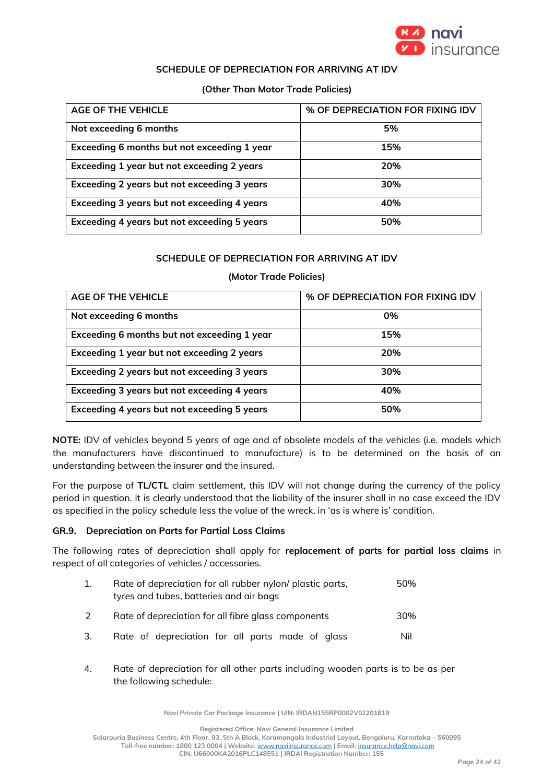

## **SCHEDULE OF DEPRECIATION FOR ARRIVING AT IDV**

### **(Other Than Motor Trade Policies)**

| AGE OF THE VEHICLE                          | % OF DEPRECIATION FOR FIXING IDV |
|---------------------------------------------|----------------------------------|
| Not exceeding 6 months                      | 5%                               |
| Exceeding 6 months but not exceeding 1 year | 15%                              |
| Exceeding 1 year but not exceeding 2 years  | 20%                              |
| Exceeding 2 years but not exceeding 3 years | 30%                              |
| Exceeding 3 years but not exceeding 4 years | 40%                              |
| Exceeding 4 years but not exceeding 5 years | 50%                              |

## **SCHEDULE OF DEPRECIATION FOR ARRIVING AT IDV**

### **(Motor Trade Policies)**

| <b>AGE OF THE VEHICLE</b>                   | % OF DEPRECIATION FOR FIXING IDV |
|---------------------------------------------|----------------------------------|
| Not exceeding 6 months                      | 0%                               |
| Exceeding 6 months but not exceeding 1 year | 15%                              |
| Exceeding 1 year but not exceeding 2 years  | 20%                              |
| Exceeding 2 years but not exceeding 3 years | 30%                              |
| Exceeding 3 years but not exceeding 4 years | 40%                              |
| Exceeding 4 years but not exceeding 5 years | 50%                              |

**NOTE:** IDV of vehicles beyond 5 years of age and of obsolete models of the vehicles (i.e. models which the manufacturers have discontinued to manufacture) is to be determined on the basis of an understanding between the insurer and the insured.

For the purpose of **TL/CTL** claim settlement, this IDV will not change during the currency of the policy period in question. It is clearly understood that the liability of the insurer shall in no case exceed the IDV as specified in the policy schedule less the value of the wreck, in 'as is where is' condition.

## **GR.9. Depreciation on Parts for Partial Loss Claims**

The following rates of depreciation shall apply for **replacement of parts for partial loss claims** in respect of all categories of vehicles / accessories.

| 1. | Rate of depreciation for all rubber nylon/ plastic parts,<br>tyres and tubes, batteries and air bags | 50% |
|----|------------------------------------------------------------------------------------------------------|-----|
|    | Rate of depreciation for all fibre glass components                                                  | 30% |
| 3. | Rate of depreciation for all parts made of glass                                                     | Nil |

4. Rate of depreciation for all other parts including wooden parts is to be as per the following schedule:

**Navi Private Car Package Insurance | UIN: IRDAN155RP0002V02201819**

**Registered Office: Navi General Insurance Limited**

**Salarpuria Business Centre, 4th Floor, 93, 5th A Block, Koramangala Industrial Layout, Bengaluru, Karnataka – 560095 Toll-free number: 1800 123 0004 | Website:** [www.naviinsurance.com](http://www.naviinsurance.com/) **| Email:** [insurance.help@navi.com](mailto:insurance.help@navi.com)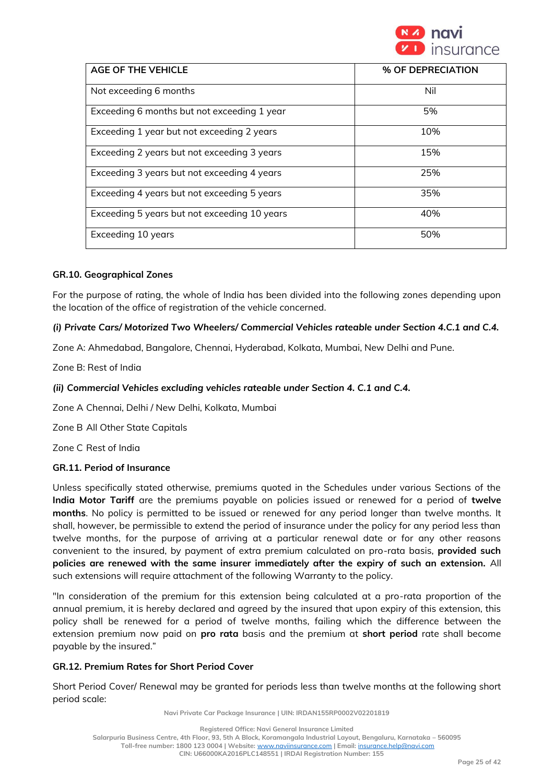

| <b>AGE OF THE VEHICLE</b>                    | % OF DEPRECIATION |
|----------------------------------------------|-------------------|
| Not exceeding 6 months                       | Nil               |
| Exceeding 6 months but not exceeding 1 year  | 5%                |
| Exceeding 1 year but not exceeding 2 years   | 10%               |
| Exceeding 2 years but not exceeding 3 years  | 15%               |
| Exceeding 3 years but not exceeding 4 years  | 25%               |
| Exceeding 4 years but not exceeding 5 years  | 35%               |
| Exceeding 5 years but not exceeding 10 years | 40%               |
| Exceeding 10 years                           | 50%               |

## **GR.10. Geographical Zones**

For the purpose of rating, the whole of India has been divided into the following zones depending upon the location of the office of registration of the vehicle concerned.

### *(i) Private Cars/ Motorized Two Wheelers/ Commercial Vehicles rateable under Section 4.C.1 and C.4.*

Zone A: Ahmedabad, Bangalore, Chennai, Hyderabad, Kolkata, Mumbai, New Delhi and Pune.

Zone B: Rest of India

### *(ii) Commercial Vehicles excluding vehicles rateable under Section 4. C.1 and C.4.*

Zone A Chennai, Delhi / New Delhi, Kolkata, Mumbai

Zone B All Other State Capitals

Zone C Rest of India

#### **GR.11. Period of Insurance**

Unless specifically stated otherwise, premiums quoted in the Schedules under various Sections of the **India Motor Tariff** are the premiums payable on policies issued or renewed for a period of **twelve months**. No policy is permitted to be issued or renewed for any period longer than twelve months. It shall, however, be permissible to extend the period of insurance under the policy for any period less than twelve months, for the purpose of arriving at a particular renewal date or for any other reasons convenient to the insured, by payment of extra premium calculated on pro-rata basis, **provided such policies are renewed with the same insurer immediately after the expiry of such an extension.** All such extensions will require attachment of the following Warranty to the policy.

"In consideration of the premium for this extension being calculated at a pro-rata proportion of the annual premium, it is hereby declared and agreed by the insured that upon expiry of this extension, this policy shall be renewed for a period of twelve months, failing which the difference between the extension premium now paid on **pro rata** basis and the premium at **short period** rate shall become payable by the insured."

### **GR.12. Premium Rates for Short Period Cover**

Short Period Cover/ Renewal may be granted for periods less than twelve months at the following short period scale:

**Navi Private Car Package Insurance | UIN: IRDAN155RP0002V02201819**

**Toll-free number: 1800 123 0004 | Website:** [www.naviinsurance.com](http://www.naviinsurance.com/) **| Email:** [insurance.help@navi.com](mailto:insurance.help@navi.com)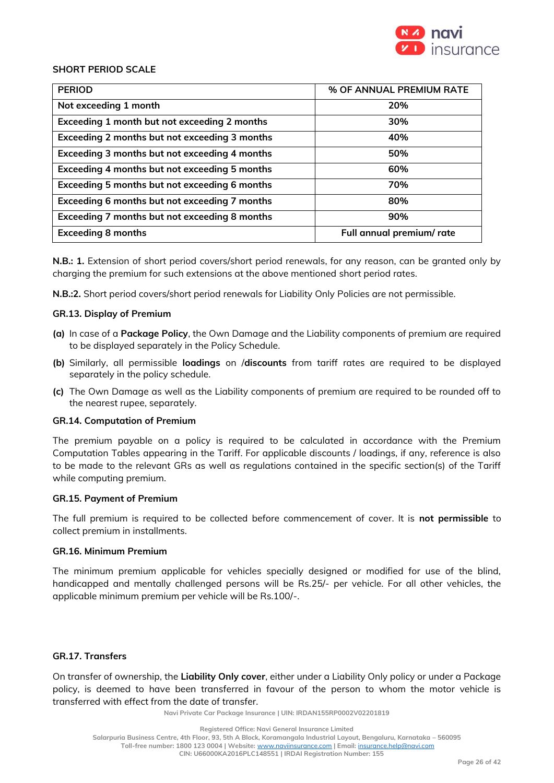

## **SHORT PERIOD SCALE**

| <b>PERIOD</b>                                 | % OF ANNUAL PREMIUM RATE  |
|-----------------------------------------------|---------------------------|
| Not exceeding 1 month                         | 20%                       |
| Exceeding 1 month but not exceeding 2 months  | 30%                       |
| Exceeding 2 months but not exceeding 3 months | 40%                       |
| Exceeding 3 months but not exceeding 4 months | 50%                       |
| Exceeding 4 months but not exceeding 5 months | 60%                       |
| Exceeding 5 months but not exceeding 6 months | 70%                       |
| Exceeding 6 months but not exceeding 7 months | 80%                       |
| Exceeding 7 months but not exceeding 8 months | 90%                       |
| <b>Exceeding 8 months</b>                     | Full annual premium/ rate |

**N.B.: 1.** Extension of short period covers/short period renewals, for any reason, can be granted only by charging the premium for such extensions at the above mentioned short period rates.

**N.B.:2.** Short period covers/short period renewals for Liability Only Policies are not permissible.

#### **GR.13. Display of Premium**

- **(a)** In case of a **Package Policy**, the Own Damage and the Liability components of premium are required to be displayed separately in the Policy Schedule.
- **(b)** Similarly, all permissible **loadings** on /**discounts** from tariff rates are required to be displayed separately in the policy schedule.
- **(c)** The Own Damage as well as the Liability components of premium are required to be rounded off to the nearest rupee, separately.

#### **GR.14. Computation of Premium**

The premium payable on a policy is required to be calculated in accordance with the Premium Computation Tables appearing in the Tariff. For applicable discounts / loadings, if any, reference is also to be made to the relevant GRs as well as regulations contained in the specific section(s) of the Tariff while computing premium.

#### **GR.15. Payment of Premium**

The full premium is required to be collected before commencement of cover. It is **not permissible** to collect premium in installments.

#### **GR.16. Minimum Premium**

The minimum premium applicable for vehicles specially designed or modified for use of the blind, handicapped and mentally challenged persons will be Rs.25/- per vehicle. For all other vehicles, the applicable minimum premium per vehicle will be Rs.100/-.

## **GR.17. Transfers**

On transfer of ownership, the **Liability Only cover**, either under a Liability Only policy or under a Package policy, is deemed to have been transferred in favour of the person to whom the motor vehicle is transferred with effect from the date of transfer.

**Navi Private Car Package Insurance | UIN: IRDAN155RP0002V02201819**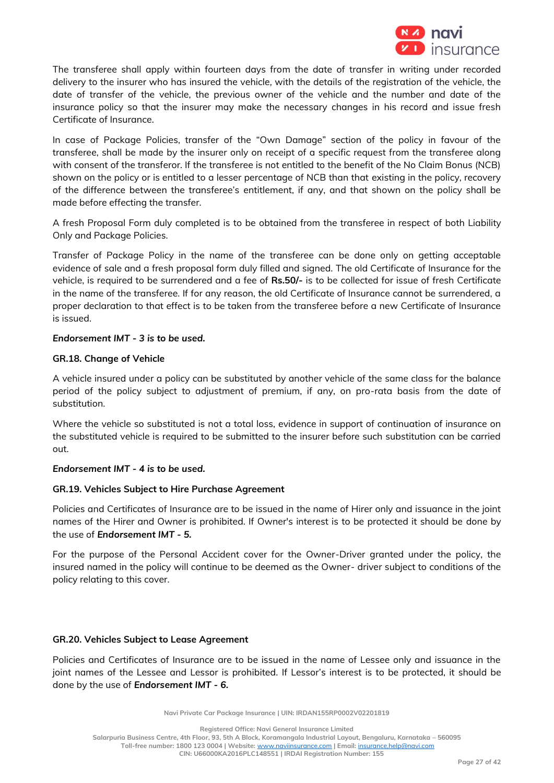

The transferee shall apply within fourteen days from the date of transfer in writing under recorded delivery to the insurer who has insured the vehicle, with the details of the registration of the vehicle, the date of transfer of the vehicle, the previous owner of the vehicle and the number and date of the insurance policy so that the insurer may make the necessary changes in his record and issue fresh Certificate of Insurance.

In case of Package Policies, transfer of the "Own Damage" section of the policy in favour of the transferee, shall be made by the insurer only on receipt of a specific request from the transferee along with consent of the transferor. If the transferee is not entitled to the benefit of the No Claim Bonus (NCB) shown on the policy or is entitled to a lesser percentage of NCB than that existing in the policy, recovery of the difference between the transferee's entitlement, if any, and that shown on the policy shall be made before effecting the transfer.

A fresh Proposal Form duly completed is to be obtained from the transferee in respect of both Liability Only and Package Policies.

Transfer of Package Policy in the name of the transferee can be done only on getting acceptable evidence of sale and a fresh proposal form duly filled and signed. The old Certificate of Insurance for the vehicle, is required to be surrendered and a fee of **Rs.50/-** is to be collected for issue of fresh Certificate in the name of the transferee. If for any reason, the old Certificate of Insurance cannot be surrendered, a proper declaration to that effect is to be taken from the transferee before a new Certificate of Insurance is issued.

## *Endorsement IMT - 3 is to be used.*

### **GR.18. Change of Vehicle**

A vehicle insured under a policy can be substituted by another vehicle of the same class for the balance period of the policy subject to adjustment of premium, if any, on pro-rata basis from the date of substitution.

Where the vehicle so substituted is not a total loss, evidence in support of continuation of insurance on the substituted vehicle is required to be submitted to the insurer before such substitution can be carried out.

#### *Endorsement IMT - 4 is to be used.*

#### **GR.19. Vehicles Subject to Hire Purchase Agreement**

Policies and Certificates of Insurance are to be issued in the name of Hirer only and issuance in the joint names of the Hirer and Owner is prohibited. If Owner's interest is to be protected it should be done by the use of *Endorsement IMT - 5.*

For the purpose of the Personal Accident cover for the Owner-Driver granted under the policy, the insured named in the policy will continue to be deemed as the Owner- driver subject to conditions of the policy relating to this cover.

## **GR.20. Vehicles Subject to Lease Agreement**

Policies and Certificates of Insurance are to be issued in the name of Lessee only and issuance in the joint names of the Lessee and Lessor is prohibited. If Lessor's interest is to be protected, it should be done by the use of *Endorsement IMT - 6.*

**Navi Private Car Package Insurance | UIN: IRDAN155RP0002V02201819**

**Registered Office: Navi General Insurance Limited**

**Salarpuria Business Centre, 4th Floor, 93, 5th A Block, Koramangala Industrial Layout, Bengaluru, Karnataka – 560095 Toll-free number: 1800 123 0004 | Website:** [www.naviinsurance.com](http://www.naviinsurance.com/) **| Email:** [insurance.help@navi.com](mailto:insurance.help@navi.com) **CIN: U66000KA2016PLC148551 | IRDAI Registration Number: 155**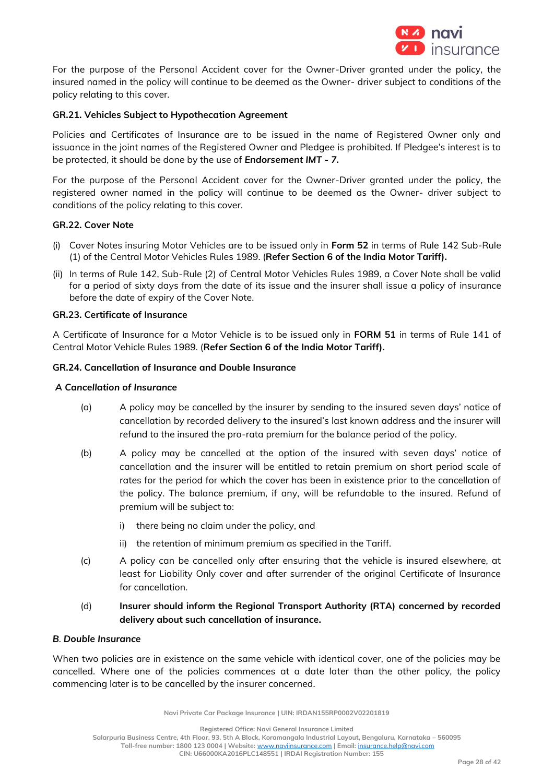

For the purpose of the Personal Accident cover for the Owner-Driver granted under the policy, the insured named in the policy will continue to be deemed as the Owner- driver subject to conditions of the policy relating to this cover.

# **GR.21. Vehicles Subject to Hypothecation Agreement**

Policies and Certificates of Insurance are to be issued in the name of Registered Owner only and issuance in the joint names of the Registered Owner and Pledgee is prohibited. If Pledgee's interest is to be protected, it should be done by the use of *Endorsement IMT - 7.* 

For the purpose of the Personal Accident cover for the Owner-Driver granted under the policy, the registered owner named in the policy will continue to be deemed as the Owner- driver subject to conditions of the policy relating to this cover.

## **GR.22. Cover Note**

- (i) Cover Notes insuring Motor Vehicles are to be issued only in **Form 52** in terms of Rule 142 Sub-Rule (1) of the Central Motor Vehicles Rules 1989. (**Refer Section 6 of the India Motor Tariff).**
- (ii) In terms of Rule 142, Sub-Rule (2) of Central Motor Vehicles Rules 1989, a Cover Note shall be valid for a period of sixty days from the date of its issue and the insurer shall issue a policy of insurance before the date of expiry of the Cover Note.

### **GR.23. Certificate of Insurance**

A Certificate of Insurance for a Motor Vehicle is to be issued only in **FORM 51** in terms of Rule 141 of Central Motor Vehicle Rules 1989. (**Refer Section 6 of the India Motor Tariff).**

### **GR.24. Cancellation of Insurance and Double Insurance**

### *A Cancellation of Insurance*

- (a) A policy may be cancelled by the insurer by sending to the insured seven days' notice of cancellation by recorded delivery to the insured's last known address and the insurer will refund to the insured the pro-rata premium for the balance period of the policy.
- (b) A policy may be cancelled at the option of the insured with seven days' notice of cancellation and the insurer will be entitled to retain premium on short period scale of rates for the period for which the cover has been in existence prior to the cancellation of the policy. The balance premium, if any, will be refundable to the insured. Refund of premium will be subject to:
	- i) there being no claim under the policy, and
	- ii) the retention of minimum premium as specified in the Tariff.
- (c) A policy can be cancelled only after ensuring that the vehicle is insured elsewhere, at least for Liability Only cover and after surrender of the original Certificate of Insurance for cancellation.
- (d) **Insurer should inform the Regional Transport Authority (RTA) concerned by recorded delivery about such cancellation of insurance.**

#### *B. Double Insurance*

When two policies are in existence on the same vehicle with identical cover, one of the policies may be cancelled. Where one of the policies commences at a date later than the other policy, the policy commencing later is to be cancelled by the insurer concerned.

**Navi Private Car Package Insurance | UIN: IRDAN155RP0002V02201819**

**Registered Office: Navi General Insurance Limited**

**Salarpuria Business Centre, 4th Floor, 93, 5th A Block, Koramangala Industrial Layout, Bengaluru, Karnataka – 560095**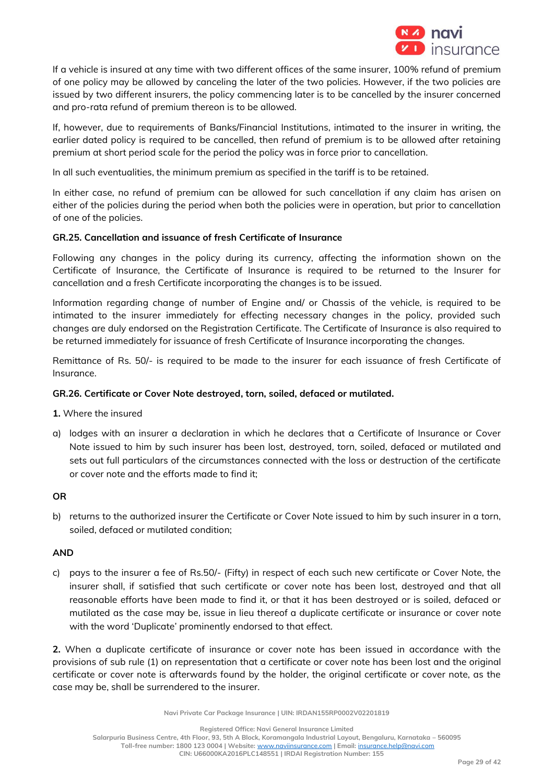

If a vehicle is insured at any time with two different offices of the same insurer, 100% refund of premium of one policy may be allowed by canceling the later of the two policies. However, if the two policies are issued by two different insurers, the policy commencing later is to be cancelled by the insurer concerned and pro-rata refund of premium thereon is to be allowed.

If, however, due to requirements of Banks/Financial Institutions, intimated to the insurer in writing, the earlier dated policy is required to be cancelled, then refund of premium is to be allowed after retaining premium at short period scale for the period the policy was in force prior to cancellation.

In all such eventualities, the minimum premium as specified in the tariff is to be retained.

In either case, no refund of premium can be allowed for such cancellation if any claim has arisen on either of the policies during the period when both the policies were in operation, but prior to cancellation of one of the policies.

# **GR.25. Cancellation and issuance of fresh Certificate of Insurance**

Following any changes in the policy during its currency, affecting the information shown on the Certificate of Insurance, the Certificate of Insurance is required to be returned to the Insurer for cancellation and a fresh Certificate incorporating the changes is to be issued.

Information regarding change of number of Engine and/ or Chassis of the vehicle, is required to be intimated to the insurer immediately for effecting necessary changes in the policy, provided such changes are duly endorsed on the Registration Certificate. The Certificate of Insurance is also required to be returned immediately for issuance of fresh Certificate of Insurance incorporating the changes.

Remittance of Rs. 50/- is required to be made to the insurer for each issuance of fresh Certificate of Insurance.

## **GR.26. Certificate or Cover Note destroyed, torn, soiled, defaced or mutilated.**

**1.** Where the insured

a) lodges with an insurer a declaration in which he declares that a Certificate of Insurance or Cover Note issued to him by such insurer has been lost, destroyed, torn, soiled, defaced or mutilated and sets out full particulars of the circumstances connected with the loss or destruction of the certificate or cover note and the efforts made to find it;

## **OR**

b) returns to the authorized insurer the Certificate or Cover Note issued to him by such insurer in a torn, soiled, defaced or mutilated condition;

## **AND**

c) pays to the insurer a fee of Rs.50/- (Fifty) in respect of each such new certificate or Cover Note, the insurer shall, if satisfied that such certificate or cover note has been lost, destroyed and that all reasonable efforts have been made to find it, or that it has been destroyed or is soiled, defaced or mutilated as the case may be, issue in lieu thereof a duplicate certificate or insurance or cover note with the word 'Duplicate' prominently endorsed to that effect.

**2.** When a duplicate certificate of insurance or cover note has been issued in accordance with the provisions of sub rule (1) on representation that a certificate or cover note has been lost and the original certificate or cover note is afterwards found by the holder, the original certificate or cover note, as the case may be, shall be surrendered to the insurer.

**Navi Private Car Package Insurance | UIN: IRDAN155RP0002V02201819**

**Registered Office: Navi General Insurance Limited Salarpuria Business Centre, 4th Floor, 93, 5th A Block, Koramangala Industrial Layout, Bengaluru, Karnataka – 560095 Toll-free number: 1800 123 0004 | Website:** [www.naviinsurance.com](http://www.naviinsurance.com/) **| Email:** [insurance.help@navi.com](mailto:insurance.help@navi.com) **CIN: U66000KA2016PLC148551 | IRDAI Registration Number: 155**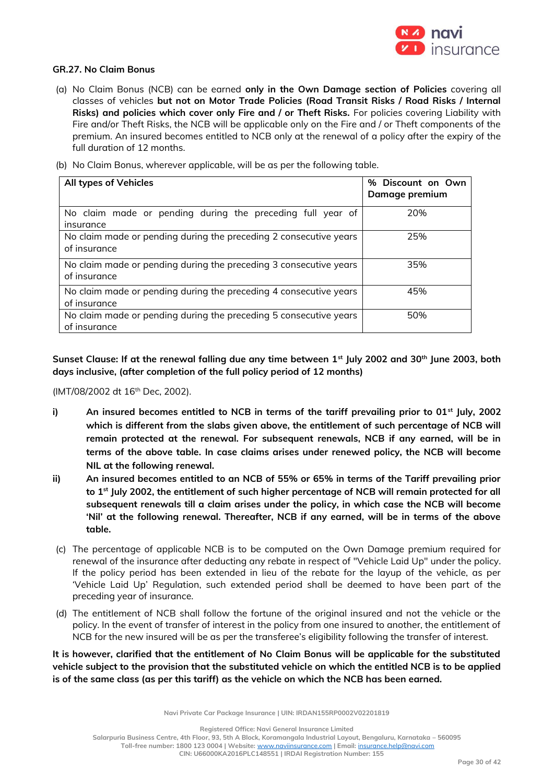

### **GR.27. No Claim Bonus**

(a) No Claim Bonus (NCB) can be earned **only in the Own Damage section of Policies** covering all classes of vehicles **but not on Motor Trade Policies (Road Transit Risks / Road Risks / Internal Risks) and policies which cover only Fire and / or Theft Risks.** For policies covering Liability with Fire and/or Theft Risks, the NCB will be applicable only on the Fire and / or Theft components of the premium. An insured becomes entitled to NCB only at the renewal of a policy after the expiry of the full duration of 12 months.

(b) No Claim Bonus, wherever applicable, will be as per the following table.

| All types of Vehicles                                                             | % Discount on Own<br>Damage premium |
|-----------------------------------------------------------------------------------|-------------------------------------|
| No claim made or pending during the preceding full year of<br>insurance           | 20%                                 |
| No claim made or pending during the preceding 2 consecutive years<br>of insurance | 25%                                 |
| No claim made or pending during the preceding 3 consecutive years<br>of insurance | 35%                                 |
| No claim made or pending during the preceding 4 consecutive years<br>of insurance | 45%                                 |
| No claim made or pending during the preceding 5 consecutive years<br>of insurance | 50%                                 |

**Sunset Clause: If at the renewal falling due any time between 1st July 2002 and 30th June 2003, both days inclusive, (after completion of the full policy period of 12 months)**

(IMT/08/2002 dt 16th Dec, 2002).

- **i) An insured becomes entitled to NCB in terms of the tariff prevailing prior to 01st July, 2002 which is different from the slabs given above, the entitlement of such percentage of NCB will remain protected at the renewal. For subsequent renewals, NCB if any earned, will be in terms of the above table. In case claims arises under renewed policy, the NCB will become NIL at the following renewal.**
- **ii) An insured becomes entitled to an NCB of 55% or 65% in terms of the Tariff prevailing prior to 1st July 2002, the entitlement of such higher percentage of NCB will remain protected for all subsequent renewals till a claim arises under the policy, in which case the NCB will become 'Nil' at the following renewal. Thereafter, NCB if any earned, will be in terms of the above table.**
- (c) The percentage of applicable NCB is to be computed on the Own Damage premium required for renewal of the insurance after deducting any rebate in respect of "Vehicle Laid Up" under the policy. If the policy period has been extended in lieu of the rebate for the layup of the vehicle, as per 'Vehicle Laid Up' Regulation, such extended period shall be deemed to have been part of the preceding year of insurance.
- (d) The entitlement of NCB shall follow the fortune of the original insured and not the vehicle or the policy. In the event of transfer of interest in the policy from one insured to another, the entitlement of NCB for the new insured will be as per the transferee's eligibility following the transfer of interest.

**It is however, clarified that the entitlement of No Claim Bonus will be applicable for the substituted vehicle subject to the provision that the substituted vehicle on which the entitled NCB is to be applied is of the same class (as per this tariff) as the vehicle on which the NCB has been earned.** 

**Navi Private Car Package Insurance | UIN: IRDAN155RP0002V02201819**

**Registered Office: Navi General Insurance Limited**

**Salarpuria Business Centre, 4th Floor, 93, 5th A Block, Koramangala Industrial Layout, Bengaluru, Karnataka – 560095**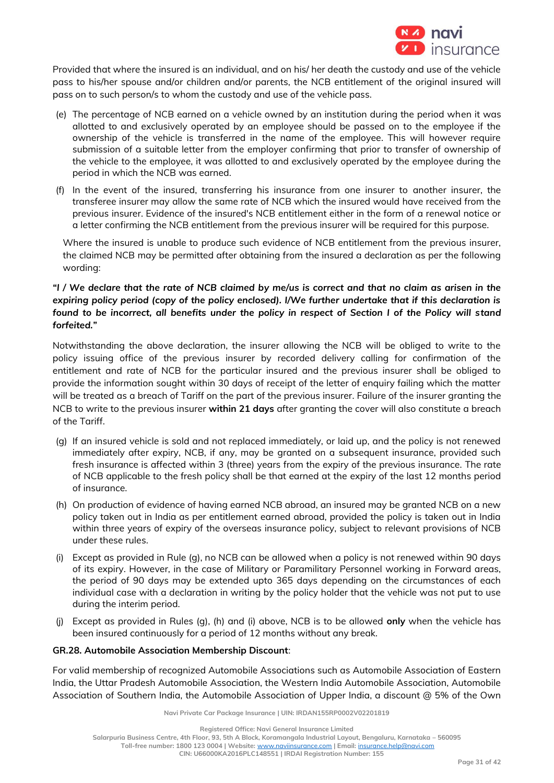

Provided that where the insured is an individual, and on his/ her death the custody and use of the vehicle pass to his/her spouse and/or children and/or parents, the NCB entitlement of the original insured will pass on to such person/s to whom the custody and use of the vehicle pass.

- (e) The percentage of NCB earned on a vehicle owned by an institution during the period when it was allotted to and exclusively operated by an employee should be passed on to the employee if the ownership of the vehicle is transferred in the name of the employee. This will however require submission of a suitable letter from the employer confirming that prior to transfer of ownership of the vehicle to the employee, it was allotted to and exclusively operated by the employee during the period in which the NCB was earned.
- (f) In the event of the insured, transferring his insurance from one insurer to another insurer, the transferee insurer may allow the same rate of NCB which the insured would have received from the previous insurer. Evidence of the insured's NCB entitlement either in the form of a renewal notice or a letter confirming the NCB entitlement from the previous insurer will be required for this purpose.

Where the insured is unable to produce such evidence of NCB entitlement from the previous insurer, the claimed NCB may be permitted after obtaining from the insured a declaration as per the following wording:

# *"I / We declare that the rate of NCB claimed by me/us is correct and that no claim as arisen in the expiring policy period (copy of the policy enclosed). I/We further undertake that if this declaration is found to be incorrect, all benefits under the policy in respect of Section I of the Policy will stand forfeited."*

Notwithstanding the above declaration, the insurer allowing the NCB will be obliged to write to the policy issuing office of the previous insurer by recorded delivery calling for confirmation of the entitlement and rate of NCB for the particular insured and the previous insurer shall be obliged to provide the information sought within 30 days of receipt of the letter of enquiry failing which the matter will be treated as a breach of Tariff on the part of the previous insurer. Failure of the insurer granting the NCB to write to the previous insurer **within 21 days** after granting the cover will also constitute a breach of the Tariff.

- (g) If an insured vehicle is sold and not replaced immediately, or laid up, and the policy is not renewed immediately after expiry, NCB, if any, may be granted on a subsequent insurance, provided such fresh insurance is affected within 3 (three) years from the expiry of the previous insurance. The rate of NCB applicable to the fresh policy shall be that earned at the expiry of the last 12 months period of insurance.
- (h) On production of evidence of having earned NCB abroad, an insured may be granted NCB on a new policy taken out in India as per entitlement earned abroad, provided the policy is taken out in India within three years of expiry of the overseas insurance policy, subject to relevant provisions of NCB under these rules.
- (i) Except as provided in Rule (g), no NCB can be allowed when a policy is not renewed within 90 days of its expiry. However, in the case of Military or Paramilitary Personnel working in Forward areas, the period of 90 days may be extended upto 365 days depending on the circumstances of each individual case with a declaration in writing by the policy holder that the vehicle was not put to use during the interim period.
- (j) Except as provided in Rules (g), (h) and (i) above, NCB is to be allowed **only** when the vehicle has been insured continuously for a period of 12 months without any break.

# **GR.28. Automobile Association Membership Discount**:

For valid membership of recognized Automobile Associations such as Automobile Association of Eastern India, the Uttar Pradesh Automobile Association, the Western India Automobile Association, Automobile Association of Southern India, the Automobile Association of Upper India, a discount @ 5% of the Own

**Navi Private Car Package Insurance | UIN: IRDAN155RP0002V02201819**

**Registered Office: Navi General Insurance Limited**

**Salarpuria Business Centre, 4th Floor, 93, 5th A Block, Koramangala Industrial Layout, Bengaluru, Karnataka – 560095**

**Toll-free number: 1800 123 0004 | Website:** [www.naviinsurance.com](http://www.naviinsurance.com/) **| Email:** [insurance.help@navi.com](mailto:insurance.help@navi.com)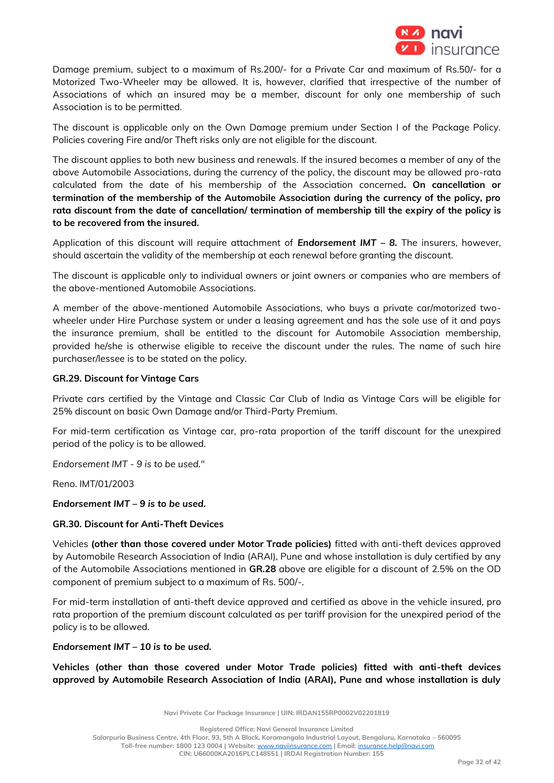

Damage premium, subject to a maximum of Rs.200/- for a Private Car and maximum of Rs.50/- for a Motorized Two-Wheeler may be allowed. It is, however, clarified that irrespective of the number of Associations of which an insured may be a member, discount for only one membership of such Association is to be permitted.

The discount is applicable only on the Own Damage premium under Section I of the Package Policy. Policies covering Fire and/or Theft risks only are not eligible for the discount.

The discount applies to both new business and renewals. If the insured becomes a member of any of the above Automobile Associations, during the currency of the policy, the discount may be allowed pro-rata calculated from the date of his membership of the Association concerned**. On cancellation or termination of the membership of the Automobile Association during the currency of the policy, pro rata discount from the date of cancellation/ termination of membership till the expiry of the policy is to be recovered from the insured.**

Application of this discount will require attachment of *Endorsement IMT – 8.* The insurers, however, should ascertain the validity of the membership at each renewal before granting the discount.

The discount is applicable only to individual owners or joint owners or companies who are members of the above-mentioned Automobile Associations.

A member of the above-mentioned Automobile Associations, who buys a private car/motorized twowheeler under Hire Purchase system or under a leasing agreement and has the sole use of it and pays the insurance premium, shall be entitled to the discount for Automobile Association membership, provided he/she is otherwise eligible to receive the discount under the rules. The name of such hire purchaser/lessee is to be stated on the policy.

## **GR.29. Discount for Vintage Cars**

Private cars certified by the Vintage and Classic Car Club of India as Vintage Cars will be eligible for 25% discount on basic Own Damage and/or Third-Party Premium.

For mid-term certification as Vintage car, pro-rata proportion of the tariff discount for the unexpired period of the policy is to be allowed.

*Endorsement IMT - 9 is to be used."*

Reno. IMT/01/2003

*Endorsement IMT – 9 is to be used.*

## **GR.30. Discount for Anti-Theft Devices**

Vehicles **(other than those covered under Motor Trade policies)** fitted with anti-theft devices approved by Automobile Research Association of India (ARAI), Pune and whose installation is duly certified by any of the Automobile Associations mentioned in **GR.28** above are eligible for a discount of 2.5% on the OD component of premium subject to a maximum of Rs. 500/-.

For mid-term installation of anti-theft device approved and certified as above in the vehicle insured, pro rata proportion of the premium discount calculated as per tariff provision for the unexpired period of the policy is to be allowed.

## *Endorsement IMT – 10 is to be used.*

**Vehicles (other than those covered under Motor Trade policies) fitted with anti-theft devices approved by Automobile Research Association of India (ARAI), Pune and whose installation is duly** 

**Navi Private Car Package Insurance | UIN: IRDAN155RP0002V02201819**

**Registered Office: Navi General Insurance Limited**

**Salarpuria Business Centre, 4th Floor, 93, 5th A Block, Koramangala Industrial Layout, Bengaluru, Karnataka – 560095**

**Toll-free number: 1800 123 0004 | Website:** [www.naviinsurance.com](http://www.naviinsurance.com/) **| Email:** [insurance.help@navi.com](mailto:insurance.help@navi.com)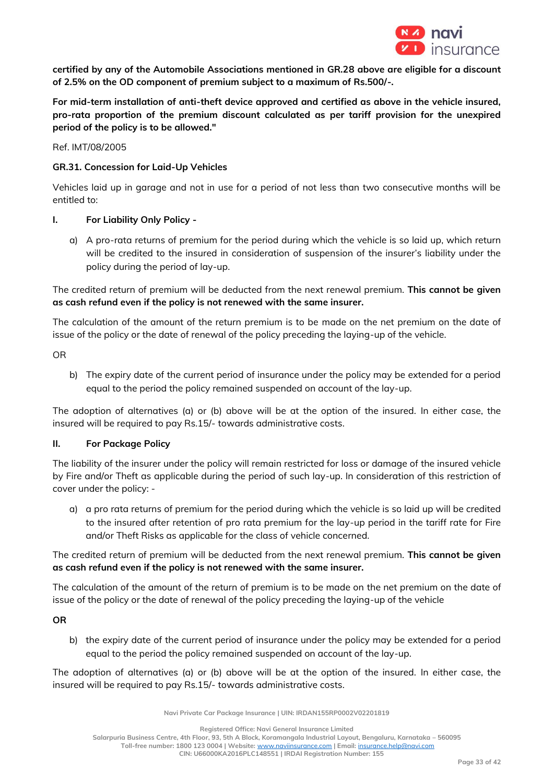

**certified by any of the Automobile Associations mentioned in GR.28 above are eligible for a discount of 2.5% on the OD component of premium subject to a maximum of Rs.500/-.**

**For mid-term installation of anti-theft device approved and certified as above in the vehicle insured, pro-rata proportion of the premium discount calculated as per tariff provision for the unexpired period of the policy is to be allowed."**

Ref. IMT/08/2005

## **GR.31. Concession for Laid-Up Vehicles**

Vehicles laid up in garage and not in use for a period of not less than two consecutive months will be entitled to:

## **I. For Liability Only Policy -**

a) A pro-rata returns of premium for the period during which the vehicle is so laid up, which return will be credited to the insured in consideration of suspension of the insurer's liability under the policy during the period of lay-up.

The credited return of premium will be deducted from the next renewal premium. **This cannot be given as cash refund even if the policy is not renewed with the same insurer.**

The calculation of the amount of the return premium is to be made on the net premium on the date of issue of the policy or the date of renewal of the policy preceding the laying-up of the vehicle.

OR

b) The expiry date of the current period of insurance under the policy may be extended for a period equal to the period the policy remained suspended on account of the lay-up.

The adoption of alternatives (a) or (b) above will be at the option of the insured. In either case, the insured will be required to pay Rs.15/- towards administrative costs.

## **II. For Package Policy**

The liability of the insurer under the policy will remain restricted for loss or damage of the insured vehicle by Fire and/or Theft as applicable during the period of such lay-up. In consideration of this restriction of cover under the policy: -

a) a pro rata returns of premium for the period during which the vehicle is so laid up will be credited to the insured after retention of pro rata premium for the lay-up period in the tariff rate for Fire and/or Theft Risks as applicable for the class of vehicle concerned.

The credited return of premium will be deducted from the next renewal premium. **This cannot be given as cash refund even if the policy is not renewed with the same insurer.**

The calculation of the amount of the return of premium is to be made on the net premium on the date of issue of the policy or the date of renewal of the policy preceding the laying-up of the vehicle

**OR**

b) the expiry date of the current period of insurance under the policy may be extended for a period equal to the period the policy remained suspended on account of the lay-up.

The adoption of alternatives (a) or (b) above will be at the option of the insured. In either case, the insured will be required to pay Rs.15/- towards administrative costs.

**Navi Private Car Package Insurance | UIN: IRDAN155RP0002V02201819**

**Registered Office: Navi General Insurance Limited**

**Salarpuria Business Centre, 4th Floor, 93, 5th A Block, Koramangala Industrial Layout, Bengaluru, Karnataka – 560095 Toll-free number: 1800 123 0004 | Website:** [www.naviinsurance.com](http://www.naviinsurance.com/) **| Email:** [insurance.help@navi.com](mailto:insurance.help@navi.com)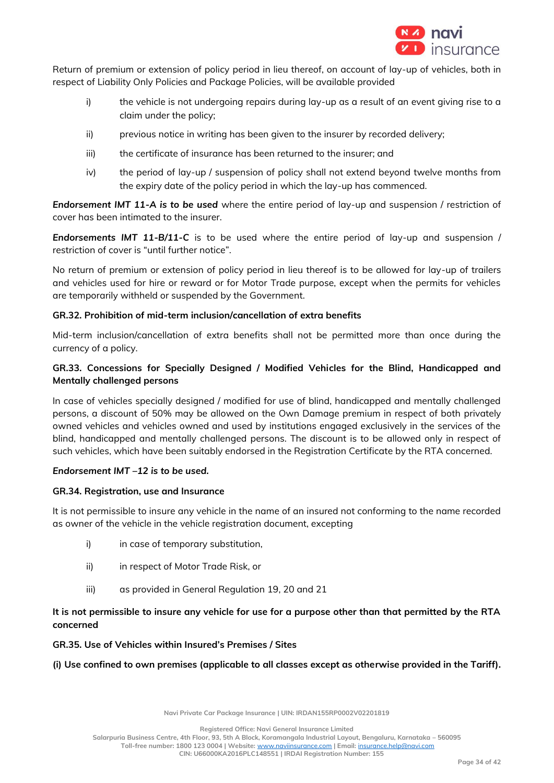

Return of premium or extension of policy period in lieu thereof, on account of lay-up of vehicles, both in respect of Liability Only Policies and Package Policies, will be available provided

- i) the vehicle is not undergoing repairs during lay-up as a result of an event giving rise to a claim under the policy;
- ii) previous notice in writing has been given to the insurer by recorded delivery;
- iii) the certificate of insurance has been returned to the insurer; and
- iv) the period of lay-up / suspension of policy shall not extend beyond twelve months from the expiry date of the policy period in which the lay-up has commenced.

*Endorsement IMT 11-A is to be used* where the entire period of lay-up and suspension / restriction of cover has been intimated to the insurer.

*Endorsements IMT 11-B/11-C* is to be used where the entire period of lay-up and suspension / restriction of cover is "until further notice".

No return of premium or extension of policy period in lieu thereof is to be allowed for lay-up of trailers and vehicles used for hire or reward or for Motor Trade purpose, except when the permits for vehicles are temporarily withheld or suspended by the Government.

## **GR.32. Prohibition of mid-term inclusion/cancellation of extra benefits**

Mid-term inclusion/cancellation of extra benefits shall not be permitted more than once during the currency of a policy.

# **GR.33. Concessions for Specially Designed / Modified Vehicles for the Blind, Handicapped and Mentally challenged persons**

In case of vehicles specially designed / modified for use of blind, handicapped and mentally challenged persons, a discount of 50% may be allowed on the Own Damage premium in respect of both privately owned vehicles and vehicles owned and used by institutions engaged exclusively in the services of the blind, handicapped and mentally challenged persons. The discount is to be allowed only in respect of such vehicles, which have been suitably endorsed in the Registration Certificate by the RTA concerned.

## *Endorsement IMT –12 is to be used.*

## **GR.34. Registration, use and Insurance**

It is not permissible to insure any vehicle in the name of an insured not conforming to the name recorded as owner of the vehicle in the vehicle registration document, excepting

- i) in case of temporary substitution,
- ii) in respect of Motor Trade Risk, or
- iii) as provided in General Regulation 19, 20 and 21

# **It is not permissible to insure any vehicle for use for a purpose other than that permitted by the RTA concerned**

## **GR.35. Use of Vehicles within Insured's Premises / Sites**

## **(i) Use confined to own premises (applicable to all classes except as otherwise provided in the Tariff).**

**Navi Private Car Package Insurance | UIN: IRDAN155RP0002V02201819**

**Registered Office: Navi General Insurance Limited**

**Salarpuria Business Centre, 4th Floor, 93, 5th A Block, Koramangala Industrial Layout, Bengaluru, Karnataka – 560095**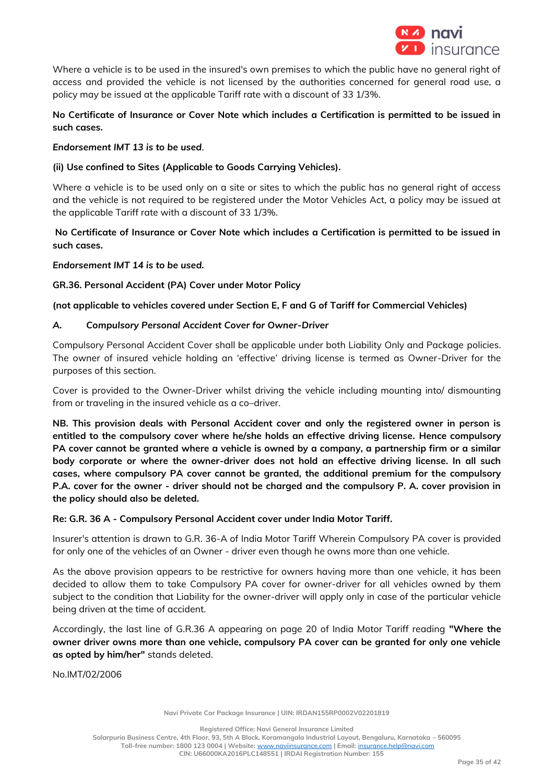

Where a vehicle is to be used in the insured's own premises to which the public have no general right of access and provided the vehicle is not licensed by the authorities concerned for general road use, a policy may be issued at the applicable Tariff rate with a discount of 33 1/3%.

# **No Certificate of Insurance or Cover Note which includes a Certification is permitted to be issued in such cases.**

## *Endorsement IMT 13 is to be used.*

# **(ii) Use confined to Sites (Applicable to Goods Carrying Vehicles).**

Where a vehicle is to be used only on a site or sites to which the public has no general right of access and the vehicle is not required to be registered under the Motor Vehicles Act, a policy may be issued at the applicable Tariff rate with a discount of 33 1/3%.

# **No Certificate of Insurance or Cover Note which includes a Certification is permitted to be issued in such cases.**

# *Endorsement IMT 14 is to be used.*

# **GR.36. Personal Accident (PA) Cover under Motor Policy**

# **(not applicable to vehicles covered under Section E, F and G of Tariff for Commercial Vehicles)**

# *A. Compulsory Personal Accident Cover for Owner-Driver*

Compulsory Personal Accident Cover shall be applicable under both Liability Only and Package policies. The owner of insured vehicle holding an 'effective' driving license is termed as Owner-Driver for the purposes of this section.

Cover is provided to the Owner-Driver whilst driving the vehicle including mounting into/ dismounting from or traveling in the insured vehicle as a co–driver.

**NB. This provision deals with Personal Accident cover and only the registered owner in person is entitled to the compulsory cover where he/she holds an effective driving license. Hence compulsory PA cover cannot be granted where a vehicle is owned by a company, a partnership firm or a similar body corporate or where the owner-driver does not hold an effective driving license. In all such cases, where compulsory PA cover cannot be granted, the additional premium for the compulsory P.A. cover for the owner - driver should not be charged and the compulsory P. A. cover provision in the policy should also be deleted.** 

## **Re: G.R. 36 A - Compulsory Personal Accident cover under India Motor Tariff.**

Insurer's attention is drawn to G.R. 36-A of India Motor Tariff Wherein Compulsory PA cover is provided for only one of the vehicles of an Owner - driver even though he owns more than one vehicle.

As the above provision appears to be restrictive for owners having more than one vehicle, it has been decided to allow them to take Compulsory PA cover for owner-driver for all vehicles owned by them subject to the condition that Liability for the owner-driver will apply only in case of the particular vehicle being driven at the time of accident.

Accordingly, the last line of G.R.36 A appearing on page 20 of India Motor Tariff reading **"Where the owner driver owns more than one vehicle, compulsory PA cover can be granted for only one vehicle as opted by him/her"** stands deleted.

No.IMT/02/2006

**Navi Private Car Package Insurance | UIN: IRDAN155RP0002V02201819**

**Registered Office: Navi General Insurance Limited**

**Salarpuria Business Centre, 4th Floor, 93, 5th A Block, Koramangala Industrial Layout, Bengaluru, Karnataka – 560095**

**Toll-free number: 1800 123 0004 | Website:** [www.naviinsurance.com](http://www.naviinsurance.com/) **| Email:** [insurance.help@navi.com](mailto:insurance.help@navi.com) **CIN: U66000KA2016PLC148551 | IRDAI Registration Number: 155**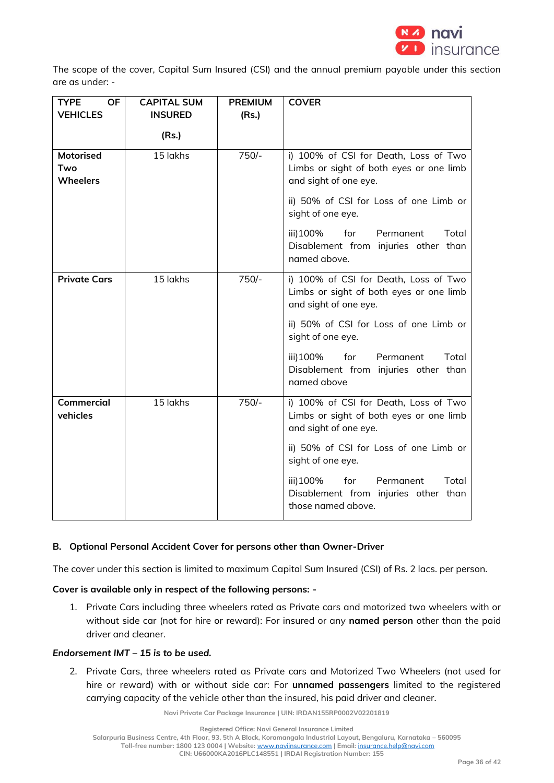

The scope of the cover, Capital Sum Insured (CSI) and the annual premium payable under this section are as under: -

| <b>TYPE</b><br><b>OF</b>                   | <b>CAPITAL SUM</b> | <b>PREMIUM</b> | <b>COVER</b>                                                                                              |
|--------------------------------------------|--------------------|----------------|-----------------------------------------------------------------------------------------------------------|
| <b>VEHICLES</b>                            | <b>INSURED</b>     | (Rs.)          |                                                                                                           |
|                                            | (Rs.)              |                |                                                                                                           |
| <b>Motorised</b><br>Two<br><b>Wheelers</b> | 15 lakhs           | $750/-$        | i) 100% of CSI for Death, Loss of Two<br>Limbs or sight of both eyes or one limb<br>and sight of one eye. |
|                                            |                    |                | ii) 50% of CSI for Loss of one Limb or<br>sight of one eye.                                               |
|                                            |                    |                | iii) 100%<br>Total<br>for Permanent<br>Disablement from injuries other than<br>named above.               |
| <b>Private Cars</b>                        | 15 lakhs           | $750/-$        | i) 100% of CSI for Death, Loss of Two<br>Limbs or sight of both eyes or one limb<br>and sight of one eye. |
|                                            |                    |                | ii) 50% of CSI for Loss of one Limb or<br>sight of one eye.                                               |
|                                            |                    |                | iii) 100%<br>Total<br>for<br>Permanent<br>Disablement from injuries other than<br>named above             |
| <b>Commercial</b><br>vehicles              | 15 lakhs           | $750/-$        | i) 100% of CSI for Death, Loss of Two<br>Limbs or sight of both eyes or one limb<br>and sight of one eye. |
|                                            |                    |                | ii) 50% of CSI for Loss of one Limb or<br>sight of one eye.                                               |
|                                            |                    |                | Total<br>iii) 100%<br>for<br>Permanent<br>Disablement from injuries other than<br>those named above.      |

## **B. Optional Personal Accident Cover for persons other than Owner-Driver**

The cover under this section is limited to maximum Capital Sum Insured (CSI) of Rs. 2 lacs. per person.

## **Cover is available only in respect of the following persons: -**

1. Private Cars including three wheelers rated as Private cars and motorized two wheelers with or without side car (not for hire or reward): For insured or any **named person** other than the paid driver and cleaner.

## *Endorsement IMT – 15 is to be used.*

2. Private Cars, three wheelers rated as Private cars and Motorized Two Wheelers (not used for hire or reward) with or without side car: For **unnamed passengers** limited to the registered carrying capacity of the vehicle other than the insured, his paid driver and cleaner.

**Navi Private Car Package Insurance | UIN: IRDAN155RP0002V02201819**

**Registered Office: Navi General Insurance Limited**

**Toll-free number: 1800 123 0004 | Website:** [www.naviinsurance.com](http://www.naviinsurance.com/) **| Email:** [insurance.help@navi.com](mailto:insurance.help@navi.com)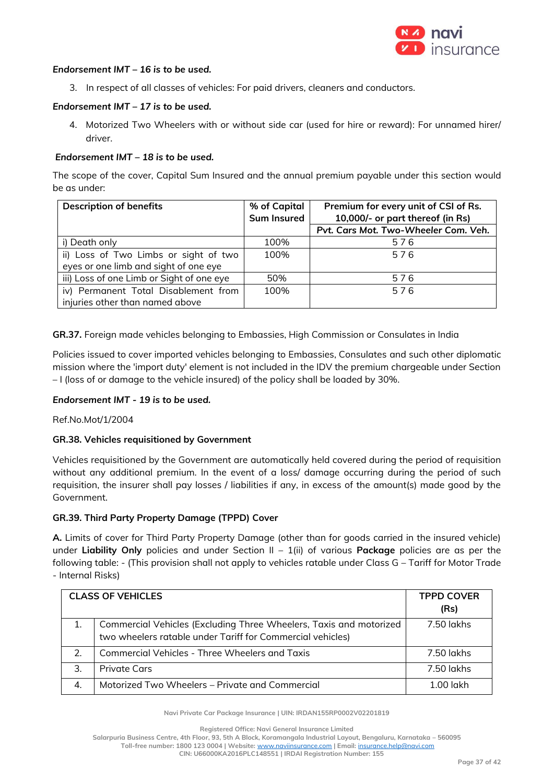

### *Endorsement IMT – 16 is to be used.*

3. In respect of all classes of vehicles: For paid drivers, cleaners and conductors.

## *Endorsement IMT – 17 is to be used.*

4. Motorized Two Wheelers with or without side car (used for hire or reward): For unnamed hirer/ driver.

### *Endorsement IMT – 18 is to be used.*

The scope of the cover, Capital Sum Insured and the annual premium payable under this section would be as under:

| <b>Description of benefits</b>            | % of Capital       | Premium for every unit of CSI of Rs. |
|-------------------------------------------|--------------------|--------------------------------------|
|                                           | <b>Sum Insured</b> | 10,000/- or part thereof (in Rs)     |
|                                           |                    | Pvt. Cars Mot. Two-Wheeler Com. Veh. |
| i) Death only                             | 100%               | 576                                  |
| ii) Loss of Two Limbs or sight of two     | 100%               | 576                                  |
| eyes or one limb and sight of one eye     |                    |                                      |
| iii) Loss of one Limb or Sight of one eye | 50%                | 576                                  |
| iv) Permanent Total Disablement from      | 100%               | 576                                  |
| injuries other than named above           |                    |                                      |

**GR.37.** Foreign made vehicles belonging to Embassies, High Commission or Consulates in India

Policies issued to cover imported vehicles belonging to Embassies, Consulates and such other diplomatic mission where the 'import duty' element is not included in the IDV the premium chargeable under Section – I (loss of or damage to the vehicle insured) of the policy shall be loaded by 30%.

#### *Endorsement IMT - 19 is to be used.*

Ref.No.Mot/1/2004

## **GR.38. Vehicles requisitioned by Government**

Vehicles requisitioned by the Government are automatically held covered during the period of requisition without any additional premium. In the event of a loss/ damage occurring during the period of such requisition, the insurer shall pay losses / liabilities if any, in excess of the amount(s) made good by the Government.

#### **GR.39. Third Party Property Damage (TPPD) Cover**

**A.** Limits of cover for Third Party Property Damage (other than for goods carried in the insured vehicle) under **Liability Only** policies and under Section II – 1(ii) of various **Package** policies are as per the following table: - (This provision shall not apply to vehicles ratable under Class G – Tariff for Motor Trade - Internal Risks)

| <b>CLASS OF VEHICLES</b> |                                                                                                                                  | <b>TPPD COVER</b> |
|--------------------------|----------------------------------------------------------------------------------------------------------------------------------|-------------------|
|                          |                                                                                                                                  | (Rs)              |
|                          | Commercial Vehicles (Excluding Three Wheelers, Taxis and motorized<br>two wheelers ratable under Tariff for Commercial vehicles) | 7.50 lakhs        |
|                          | Commercial Vehicles - Three Wheelers and Taxis                                                                                   | 7.50 lakhs        |
| 3.                       | Private Cars                                                                                                                     | 7.50 lakhs        |
| 4.                       | Motorized Two Wheelers – Private and Commercial                                                                                  | $1.00$ lakh       |

**Navi Private Car Package Insurance | UIN: IRDAN155RP0002V02201819**

**Registered Office: Navi General Insurance Limited**

**Salarpuria Business Centre, 4th Floor, 93, 5th A Block, Koramangala Industrial Layout, Bengaluru, Karnataka – 560095**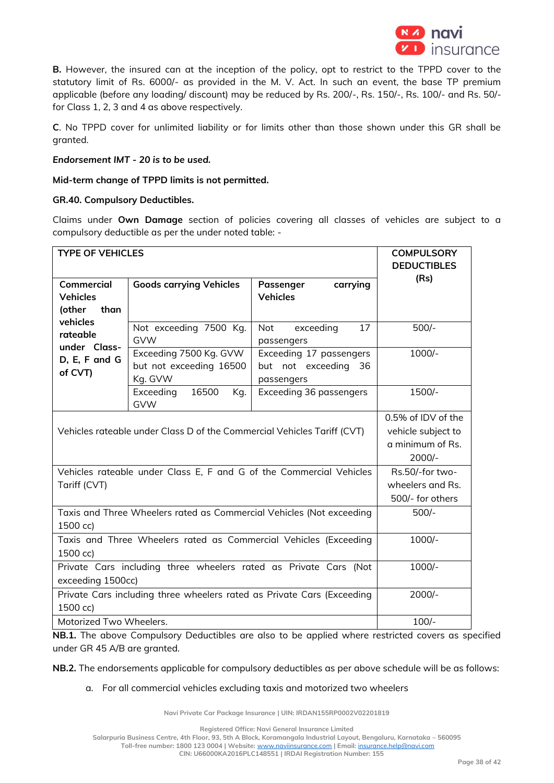

**B.** However, the insured can at the inception of the policy, opt to restrict to the TPPD cover to the statutory limit of Rs. 6000/- as provided in the M. V. Act. In such an event, the base TP premium applicable (before any loading/ discount) may be reduced by Rs. 200/-, Rs. 150/-, Rs. 100/- and Rs. 50/ for Class 1, 2, 3 and 4 as above respectively.

**C**. No TPPD cover for unlimited liability or for limits other than those shown under this GR shall be granted.

### *Endorsement IMT - 20 is to be used.*

**Mid-term change of TPPD limits is not permitted.** 

### **GR.40. Compulsory Deductibles.**

Claims under **Own Damage** section of policies covering all classes of vehicles are subject to a compulsory deductible as per the under noted table: -

| <b>TYPE OF VEHICLES</b>                                                               |                                                              |                                                                    | <b>COMPULSORY</b><br><b>DEDUCTIBLES</b>                                  |
|---------------------------------------------------------------------------------------|--------------------------------------------------------------|--------------------------------------------------------------------|--------------------------------------------------------------------------|
| <b>Commercial</b><br><b>Vehicles</b><br>(other<br>than                                | <b>Goods carrying Vehicles</b>                               | carrying<br>Passenger<br><b>Vehicles</b>                           | (Rs)                                                                     |
| vehicles<br>rateable<br>under Class-                                                  | Not exceeding 7500 Kg.<br><b>GVW</b>                         | 17<br>Not<br>exceeding<br>passengers                               | $500/-$                                                                  |
| D, E, F and G<br>of CVT)                                                              | Exceeding 7500 Kg. GVW<br>but not exceeding 16500<br>Kg. GVW | Exceeding 17 passengers<br>but not exceeding<br>- 36<br>passengers | $1000/-$                                                                 |
|                                                                                       | Exceeding<br>16500<br>Kg.<br><b>GVW</b>                      | Exceeding 36 passengers                                            | 1500/-                                                                   |
| Vehicles rateable under Class D of the Commercial Vehicles Tariff (CVT)               |                                                              |                                                                    | 0.5% of IDV of the<br>vehicle subject to<br>a minimum of Rs.<br>$2000/-$ |
| Vehicles rateable under Class E, F and G of the Commercial Vehicles<br>Tariff (CVT)   |                                                              |                                                                    | Rs.50/-for two-<br>wheelers and Rs.<br>500/- for others                  |
| Taxis and Three Wheelers rated as Commercial Vehicles (Not exceeding<br>1500 cc)      |                                                              |                                                                    | $500/-$                                                                  |
| Taxis and Three Wheelers rated as Commercial Vehicles (Exceeding<br>1500 cc)          |                                                              |                                                                    | $1000/-$                                                                 |
| Private Cars including three wheelers rated as Private Cars (Not<br>exceeding 1500cc) |                                                              |                                                                    | $1000/-$                                                                 |
| Private Cars including three wheelers rated as Private Cars (Exceeding<br>1500 cc)    |                                                              |                                                                    | $2000/-$                                                                 |
| Motorized Two Wheelers.                                                               |                                                              |                                                                    | $100/-$                                                                  |

**NB.1.** The above Compulsory Deductibles are also to be applied where restricted covers as specified under GR 45 A/B are granted.

**NB.2.** The endorsements applicable for compulsory deductibles as per above schedule will be as follows:

#### a. For all commercial vehicles excluding taxis and motorized two wheelers

**Navi Private Car Package Insurance | UIN: IRDAN155RP0002V02201819**

**Registered Office: Navi General Insurance Limited**

**Salarpuria Business Centre, 4th Floor, 93, 5th A Block, Koramangala Industrial Layout, Bengaluru, Karnataka – 560095**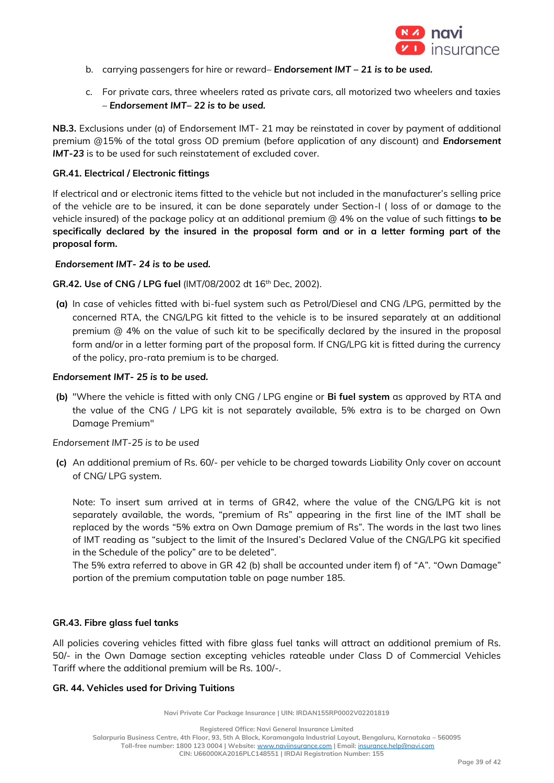

- b. carrying passengers for hire or reward– *Endorsement IMT – 21 is to be used.*
- c. For private cars, three wheelers rated as private cars, all motorized two wheelers and taxies – *Endorsement IMT– 22 is to be used.*

**NB.3.** Exclusions under (a) of Endorsement IMT- 21 may be reinstated in cover by payment of additional premium @15% of the total gross OD premium (before application of any discount) and *Endorsement IMT-23* is to be used for such reinstatement of excluded cover.

## **GR.41. Electrical / Electronic fittings**

If electrical and or electronic items fitted to the vehicle but not included in the manufacturer's selling price of the vehicle are to be insured, it can be done separately under Section-I ( loss of or damage to the vehicle insured) of the package policy at an additional premium @ 4% on the value of such fittings **to be specifically declared by the insured in the proposal form and or in a letter forming part of the proposal form.**

### *Endorsement IMT- 24 is to be used.*

**GR.42. Use of CNG / LPG fuel** (IMT/08/2002 dt 16th Dec, 2002).

**(a)** In case of vehicles fitted with bi-fuel system such as Petrol/Diesel and CNG /LPG, permitted by the concerned RTA, the CNG/LPG kit fitted to the vehicle is to be insured separately at an additional premium @ 4% on the value of such kit to be specifically declared by the insured in the proposal form and/or in a letter forming part of the proposal form. If CNG/LPG kit is fitted during the currency of the policy, pro-rata premium is to be charged.

## *Endorsement IMT- 25 is to be used.*

**(b)** "Where the vehicle is fitted with only CNG / LPG engine or **Bi fuel system** as approved by RTA and the value of the CNG / LPG kit is not separately available, 5% extra is to be charged on Own Damage Premium"

## *Endorsement IMT-25 is to be used*

**(c)** An additional premium of Rs. 60/- per vehicle to be charged towards Liability Only cover on account of CNG/ LPG system.

Note: To insert sum arrived at in terms of GR42, where the value of the CNG/LPG kit is not separately available, the words, "premium of Rs" appearing in the first line of the IMT shall be replaced by the words "5% extra on Own Damage premium of Rs". The words in the last two lines of IMT reading as "subject to the limit of the Insured's Declared Value of the CNG/LPG kit specified in the Schedule of the policy" are to be deleted".

The 5% extra referred to above in GR 42 (b) shall be accounted under item f) of "A". "Own Damage" portion of the premium computation table on page number 185.

## **GR.43. Fibre glass fuel tanks**

All policies covering vehicles fitted with fibre glass fuel tanks will attract an additional premium of Rs. 50/- in the Own Damage section excepting vehicles rateable under Class D of Commercial Vehicles Tariff where the additional premium will be Rs. 100/-.

#### **GR. 44. Vehicles used for Driving Tuitions**

**Navi Private Car Package Insurance | UIN: IRDAN155RP0002V02201819**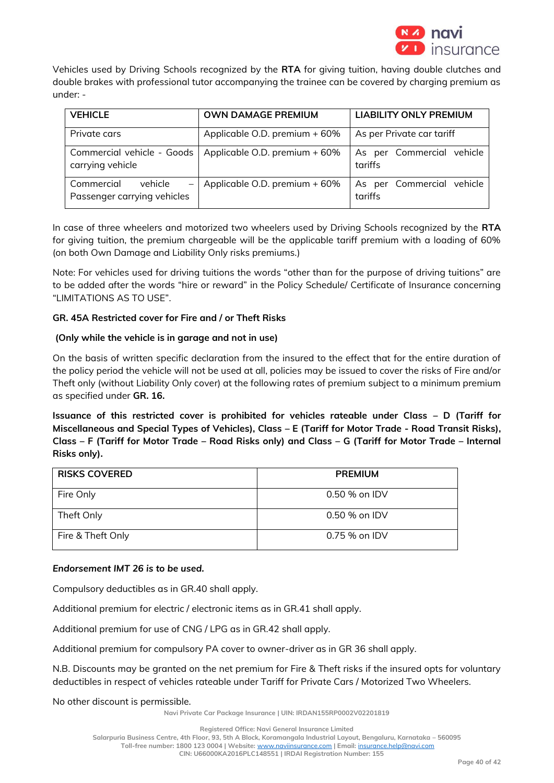

Vehicles used by Driving Schools recognized by the **RTA** for giving tuition, having double clutches and double brakes with professional tutor accompanying the trainee can be covered by charging premium as under: -

| <b>VEHICLE</b>                                                                   | <b>OWN DAMAGE PREMIUM</b>     | <b>LIABILITY ONLY PREMIUM</b>        |
|----------------------------------------------------------------------------------|-------------------------------|--------------------------------------|
| Private cars                                                                     | Applicable O.D. premium + 60% | As per Private car tariff            |
| Commercial vehicle - Goods<br>carrying vehicle                                   | Applicable O.D. premium + 60% | As per Commercial vehicle<br>tariffs |
| Commercial<br>vehicle<br>$\overline{\phantom{m}}$<br>Passenger carrying vehicles | Applicable O.D. premium + 60% | As per Commercial vehicle<br>tariffs |

In case of three wheelers and motorized two wheelers used by Driving Schools recognized by the **RTA** for giving tuition, the premium chargeable will be the applicable tariff premium with a loading of 60% (on both Own Damage and Liability Only risks premiums.)

Note: For vehicles used for driving tuitions the words "other than for the purpose of driving tuitions" are to be added after the words "hire or reward" in the Policy Schedule/ Certificate of Insurance concerning "LIMITATIONS AS TO USE".

# **GR. 45A Restricted cover for Fire and / or Theft Risks**

## **(Only while the vehicle is in garage and not in use)**

On the basis of written specific declaration from the insured to the effect that for the entire duration of the policy period the vehicle will not be used at all, policies may be issued to cover the risks of Fire and/or Theft only (without Liability Only cover) at the following rates of premium subject to a minimum premium as specified under **GR. 16.**

**Issuance of this restricted cover is prohibited for vehicles rateable under Class – D (Tariff for Miscellaneous and Special Types of Vehicles), Class – E (Tariff for Motor Trade - Road Transit Risks), Class – F (Tariff for Motor Trade – Road Risks only) and Class – G (Tariff for Motor Trade – Internal Risks only).**

| <b>RISKS COVERED</b> | <b>PREMIUM</b>  |
|----------------------|-----------------|
| Fire Only            | 0.50 % on IDV   |
| Theft Only           | 0.50 % on IDV   |
| Fire & Theft Only    | $0.75\%$ on IDV |

## *Endorsement IMT 26 is to be used.*

Compulsory deductibles as in GR.40 shall apply.

Additional premium for electric / electronic items as in GR.41 shall apply.

Additional premium for use of CNG / LPG as in GR.42 shall apply.

Additional premium for compulsory PA cover to owner-driver as in GR 36 shall apply.

N.B. Discounts may be granted on the net premium for Fire & Theft risks if the insured opts for voluntary deductibles in respect of vehicles rateable under Tariff for Private Cars / Motorized Two Wheelers.

No other discount is permissible.

**Navi Private Car Package Insurance | UIN: IRDAN155RP0002V02201819**

**Salarpuria Business Centre, 4th Floor, 93, 5th A Block, Koramangala Industrial Layout, Bengaluru, Karnataka – 560095**

**Toll-free number: 1800 123 0004 | Website:** [www.naviinsurance.com](http://www.naviinsurance.com/) **| Email:** [insurance.help@navi.com](mailto:insurance.help@navi.com)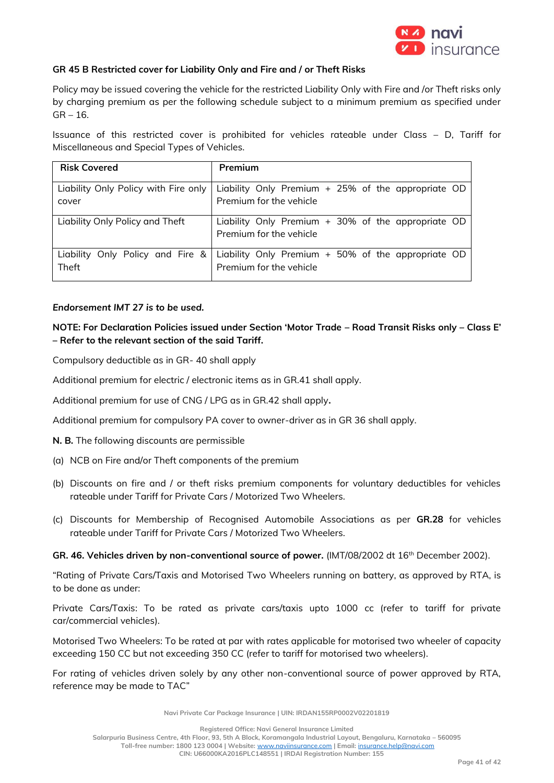

### **GR 45 B Restricted cover for Liability Only and Fire and / or Theft Risks**

Policy may be issued covering the vehicle for the restricted Liability Only with Fire and /or Theft risks only by charging premium as per the following schedule subject to a minimum premium as specified under  $GR - 16.$ 

Issuance of this restricted cover is prohibited for vehicles rateable under Class – D, Tariff for Miscellaneous and Special Types of Vehicles.

| <b>Risk Covered</b>                  | Premium                                                                       |
|--------------------------------------|-------------------------------------------------------------------------------|
| Liability Only Policy with Fire only | Liability Only Premium + 25% of the appropriate OD                            |
| cover                                | Premium for the vehicle                                                       |
| Liability Only Policy and Theft      | Liability Only Premium + 30% of the appropriate OD<br>Premium for the vehicle |
| Liability Only Policy and Fire &     | Liability Only Premium + 50% of the appropriate OD                            |
| Theft                                | Premium for the vehicle                                                       |

### *Endorsement IMT 27 is to be used.*

# **NOTE: For Declaration Policies issued under Section 'Motor Trade – Road Transit Risks only – Class E' – Refer to the relevant section of the said Tariff.**

Compulsory deductible as in GR- 40 shall apply

Additional premium for electric / electronic items as in GR.41 shall apply.

Additional premium for use of CNG / LPG as in GR.42 shall apply**.**

Additional premium for compulsory PA cover to owner-driver as in GR 36 shall apply.

**N. B.** The following discounts are permissible

- (a) NCB on Fire and/or Theft components of the premium
- (b) Discounts on fire and / or theft risks premium components for voluntary deductibles for vehicles rateable under Tariff for Private Cars / Motorized Two Wheelers.
- (c) Discounts for Membership of Recognised Automobile Associations as per **GR.28** for vehicles rateable under Tariff for Private Cars / Motorized Two Wheelers.

**GR. 46. Vehicles driven by non-conventional source of power.** (IMT/08/2002 dt 16th December 2002).

"Rating of Private Cars/Taxis and Motorised Two Wheelers running on battery, as approved by RTA, is to be done as under:

Private Cars/Taxis: To be rated as private cars/taxis upto 1000 cc (refer to tariff for private car/commercial vehicles).

Motorised Two Wheelers: To be rated at par with rates applicable for motorised two wheeler of capacity exceeding 150 CC but not exceeding 350 CC (refer to tariff for motorised two wheelers).

For rating of vehicles driven solely by any other non-conventional source of power approved by RTA, reference may be made to TAC"

**Navi Private Car Package Insurance | UIN: IRDAN155RP0002V02201819**

**Registered Office: Navi General Insurance Limited**

**Salarpuria Business Centre, 4th Floor, 93, 5th A Block, Koramangala Industrial Layout, Bengaluru, Karnataka – 560095**

**Toll-free number: 1800 123 0004 | Website:** [www.naviinsurance.com](http://www.naviinsurance.com/) **| Email:** [insurance.help@navi.com](mailto:insurance.help@navi.com)